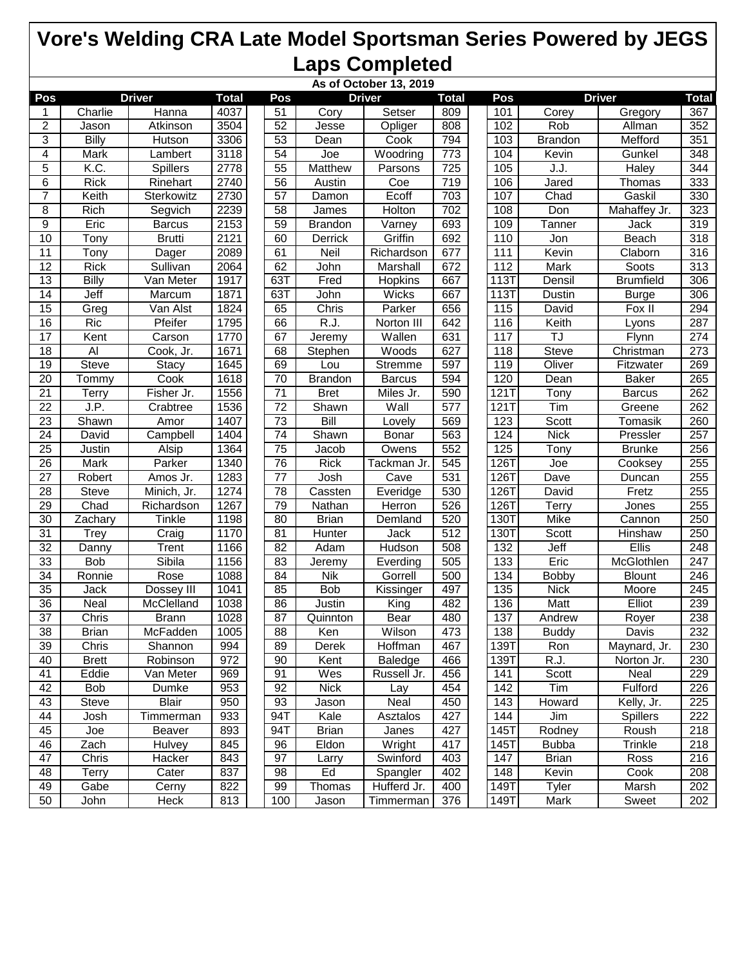| As of October 13, 2019 |              |                 |              |                 |                   |               |                  |  |             |                |                  |                  |
|------------------------|--------------|-----------------|--------------|-----------------|-------------------|---------------|------------------|--|-------------|----------------|------------------|------------------|
| Pos                    |              | <b>Driver</b>   | <b>Total</b> | Pos             |                   | <b>Driver</b> | <b>Total</b>     |  | Pos         |                | <b>Driver</b>    | <b>Total</b>     |
| 1                      | Charlie      | Hanna           | 4037         | 51              | Cory              | Setser        | 809              |  | 101         | Corey          | Gregory          | 367              |
| $\boldsymbol{2}$       | Jason        | Atkinson        | 3504         | 52              | Jesse             | Opliger       | 808              |  | 102         | Rob            | Allman           | 352              |
| 3                      | Billy        | Hutson          | 3306         | 53              | Dean              | Cook          | 794              |  | 103         | <b>Brandon</b> | Mefford          | 351              |
| 4                      | Mark         | Lambert         | 3118         | $\overline{54}$ | $\overline{J}$ oe | Woodring      | $\overline{773}$ |  | 104         | Kevin          | Gunkel           | $\overline{348}$ |
| 5                      | K.C.         | <b>Spillers</b> | 2778         | $\overline{55}$ | <b>Matthew</b>    | Parsons       | 725              |  | 105         | J.J.           | <b>Haley</b>     | 344              |
| 6                      | <b>Rick</b>  | Rinehart        | 2740         | $\overline{56}$ | Austin            | Coe           | 719              |  | 106         | Jared          | Thomas           | 333              |
| $\overline{7}$         | Keith        | Sterkowitz      | 2730         | $\overline{57}$ | Damon             | Ecoff         | 703              |  | 107         | Chad           | Gaskil           | 330              |
| 8                      | Rich         | Segvich         | 2239         | 58              | James             | Holton        | 702              |  | 108         | Don            | Mahaffey Jr.     | 323              |
| 9                      | Eric         | <b>Barcus</b>   | 2153         | 59              | <b>Brandon</b>    | Varney        | 693              |  | 109         | Tanner         | Jack             | $\overline{319}$ |
| 10                     | Tony         | <b>Brutti</b>   | 2121         | 60              | Derrick           | Griffin       | 692              |  | 110         | Jon            | Beach            | 318              |
| 11                     | Tony         | <b>Dager</b>    | 2089         | 61              | Neil              | Richardson    | 677              |  | 111         | Kevin          | Claborn          | 316              |
| $\overline{12}$        | <b>Rick</b>  | Sullivan        | 2064         | 62              | John              | Marshall      | 672              |  | 112         | Mark           | Soots            | $\overline{313}$ |
| $\overline{13}$        | <b>Billy</b> | Van Meter       | 1917         | 63T             | Fred              | Hopkins       | 667              |  | 113T        | Densil         | <b>Brumfield</b> | 306              |
| 14                     | Jeff         | Marcum          | 1871         | 63T             | John              | Wicks         | 667              |  | <b>113T</b> | Dustin         | <b>Burge</b>     | 306              |
| 15                     | Greg         | Van Alst        | 1824         | 65              | Chris             | Parker        | 656              |  | 115         | David          | Fox II           | 294              |
| 16                     | Ric          | Pfeifer         | 1795         | 66              | R.J.              | Norton III    | 642              |  | 116         | Keith          | Lyons            | 287              |
| $\overline{17}$        | Kent         | Carson          | 1770         | 67              | Jeremy            | Wallen        | 631              |  | 117         | TJ             | Flynn            | 274              |
| $\overline{18}$        | Al           | Cook, Jr.       | 1671         | 68              | Stephen           | Woods         | 627              |  | 118         | <b>Steve</b>   | Christman        | 273              |
| 19                     | <b>Steve</b> | Stacy           | 1645         | 69              | Lou               | Stremme       | 597              |  | 119         | Oliver         | Fitzwater        | 269              |
| $\overline{20}$        | Tommy        | Cook            | 1618         | $\overline{70}$ | <b>Brandon</b>    | <b>Barcus</b> | 594              |  | 120         | Dean           | <b>Baker</b>     | 265              |
| 21                     | Terry        | Fisher Jr.      | 1556         | 71              | <b>Bret</b>       | Miles Jr.     | 590              |  | 121T        | Tony           | <b>Barcus</b>    | 262              |
| $\overline{22}$        | J.P.         | Crabtree        | 1536         | $\overline{72}$ | Shawn             | Wall          | 577              |  | 121         | Tim            | Greene           | 262              |
| 23                     | Shawn        | Amor            | 1407         | 73              | Bill              | Lovely        | 569              |  | 123         | Scott          | Tomasik          | 260              |
| $\overline{24}$        | David        | Campbell        | 1404         | $\overline{74}$ | Shawn             | Bonar         | 563              |  | 124         | <b>Nick</b>    | Pressler         | 257              |
| $\overline{25}$        | Justin       | Alsip           | 1364         | $\overline{75}$ | Jacob             | Owens         | 552              |  | 125         | Tony           | <b>Brunke</b>    | 256              |
| $\overline{26}$        | <b>Mark</b>  | Parker          | 1340         | $\overline{76}$ | <b>Rick</b>       | Tackman Jr.   | 545              |  | 126T        | Joe            | Cooksey          | 255              |
| 27                     | Robert       | Amos Jr.        | 1283         | 77              | <b>Josh</b>       | Cave          | 531              |  | 1267        | Dave           | Duncan           | 255              |
| 28                     | Steve        | Minich, Jr.     | 1274         | 78              | Cassten           | Everidge      | 530              |  | 126T        | David          | Fretz            | 255              |
| $\overline{29}$        | Chad         | Richardson      | 1267         | 79              | Nathan            | <b>Herron</b> | 526              |  | 126T        | Terry          | Jones            | 255              |
| 30                     | Zachary      | <b>Tinkle</b>   | 1198         | 80              | <b>Brian</b>      | Demland       | 520              |  | 130T        | Mike           | Cannon           | 250              |
| 31                     | <b>Trey</b>  | Craig           | 1170         | 81              | Hunter            | Jack          | 512              |  | 130T        | Scott          | Hinshaw          | 250              |
| $\overline{32}$        | Danny        | Trent           | 1166         | 82              | Adam              | Hudson        | 508              |  | 132         | Jeff           | Ellis            | 248              |
| 33                     | <b>Bob</b>   | Sibila          | 1156         | 83              | Jeremy            | Everding      | 505              |  | 133         | Eric           | McGlothlen       | 247              |
| $\overline{34}$        | Ronnie       | Rose            | 1088         | 84              | <b>Nik</b>        | Gorrell       | 500              |  | 134         | Bobby          | <b>Blount</b>    | 246              |
| $\overline{35}$        | Jack         | Dossey III      | 1041         | 85              | <b>Bob</b>        | Kissinger     | 497              |  | 135         | <b>Nick</b>    | Moore            | $\overline{245}$ |
| 36                     | Neal         | McClelland      | 1038         | 86              | Justin            | King          | 482              |  | 136         | Matt           | Elliot           | 239              |
| $\overline{37}$        | Chris        | <b>Brann</b>    | 1028         | 87              | Quinnton          | Bear          | 480              |  | 137         | Andrew         | Royer            | 238              |
| 38                     | <b>Brian</b> | McFadden        | 1005         | 88              | Ken               | Wilson        | 473              |  | 138         | <b>Buddy</b>   | Davis            | 232              |
| 39                     | Chris        | Shannon         | 994          | 89              | <b>Derek</b>      | Hoffman       | 467              |  | 139T        | Ron            | Maynard, Jr.     | 230              |
| 40                     | <b>Brett</b> | Robinson        | 972          | 90              | Kent              | Baledge       | 466              |  | 139T        | R.J.           | Norton Jr.       | 230              |
| 41                     | Eddie        | Van Meter       | 969          | 91              | Wes               | Russell Jr.   | 456              |  | 141         | Scott          | Neal             | 229              |
| 42                     | Bob          | <b>Dumke</b>    | 953          | 92              | <b>Nick</b>       | Lay           | 454              |  | 142         | Tim            | Fulford          | 226              |
| 43                     | <b>Steve</b> | <b>Blair</b>    | 950          | 93              | Jason             | Neal          | 450              |  | 143         | Howard         | Kelly, Jr.       | 225              |
| 44                     | Josh         | Timmerman       | 933          | 94T             | Kale              | Asztalos      | 427              |  | 144         | Jim            | <b>Spillers</b>  | 222              |
| 45                     | Joe          | Beaver          | 893          | 94T             | <b>Brian</b>      | Janes         | 427              |  | 145T        | Rodney         | Roush            | 218              |
| 46                     | Zach         | Hulvey          | 845          | 96              | Eldon             | Wright        | 417              |  | 145T        | <b>Bubba</b>   | Trinkle          | 218              |
| 47                     | Chris        | Hacker          | 843          | 97              | Larry             | Swinford      | 403              |  | 147         | <b>Brian</b>   | Ross             | 216              |
| 48                     | <b>Terry</b> | Cater           | 837          | 98              | Ed                | Spangler      | 402              |  | 148         | Kevin          | Cook             | 208              |
| 49                     | Gabe         | Cerny           | 822          | 99              | Thomas            | Hufferd Jr.   | 400              |  | 149T        | Tyler          | Marsh            | 202              |
| 50                     | John         | Heck            | 813          | 100             | Jason             | Timmerman     | 376              |  | 149T        | Mark           | Sweet            | 202              |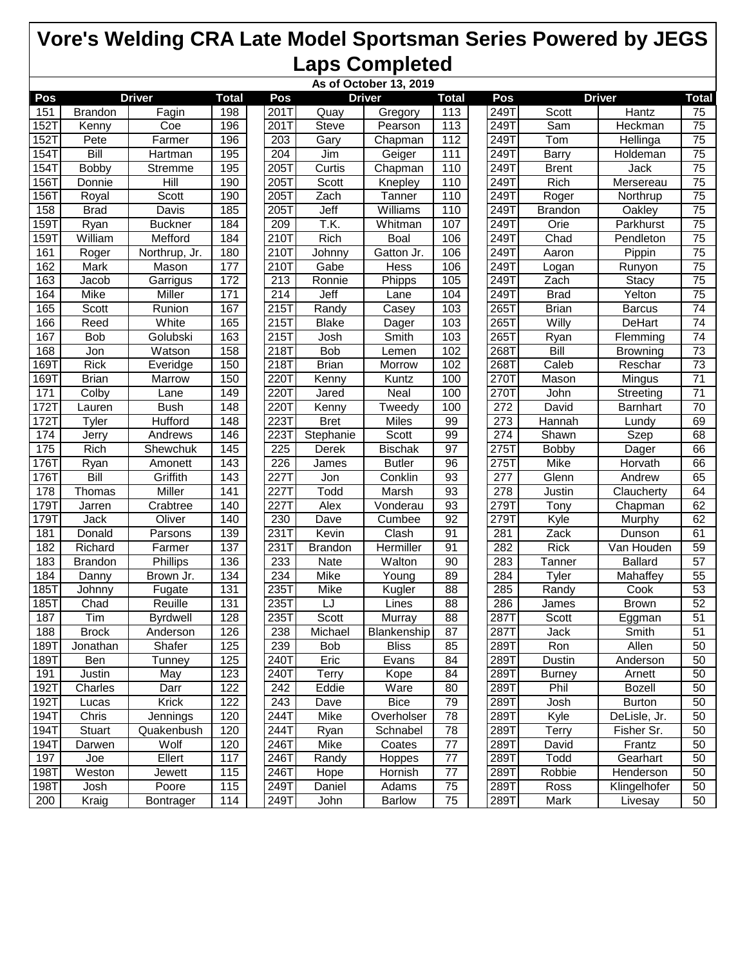| As of October 13, 2019 |                |                 |                  |  |                  |                |                |                  |  |                   |                |                 |                 |
|------------------------|----------------|-----------------|------------------|--|------------------|----------------|----------------|------------------|--|-------------------|----------------|-----------------|-----------------|
| Pos                    |                | <b>Driver</b>   | <b>Total</b>     |  | Pos              |                | <b>Driver</b>  | <b>Total</b>     |  | Pos               |                | <b>Driver</b>   | <b>Total</b>    |
| 151                    | <b>Brandon</b> | Fagin           | 198              |  | 201T             | Quay           | Gregory        | 113              |  | 249T              | Scott          | Hantz           | 75              |
| <b>152T</b>            | Kenny          | Coe             | 196              |  | 201T             | <b>Steve</b>   | Pearson        | 113              |  | 249T              | Sam            | Heckman         | $\overline{75}$ |
| $152$ T                | Pete           | Farmer          | 196              |  | 203              | Gary           | Chapman        | 112              |  | 249T              | Tom            | Hellinga        | 75              |
| $154$ T                | Bill           | Hartman         | 195              |  | 204              | Jim            | Geiger         | $\overline{111}$ |  | 249T              | Barry          | Holdeman        | 75              |
| <b>154T</b>            | <b>Bobby</b>   | Stremme         | 195              |  | $\overline{205}$ | Curtis         | Chapman        | 110              |  | 249T              | <b>Brent</b>   | Jack            | $\overline{75}$ |
| $156$ T                | Donnie         | Hill            | 190              |  | 205T             | Scott          | Knepley        | 110              |  | 249T              | Rich           | Mersereau       | $\overline{75}$ |
| 156T                   | Royal          | <b>Scott</b>    | 190              |  | 205T             | Zach           | Tanner         | 110              |  | 249T              | Roger          | Northrup        | $\overline{75}$ |
| 158                    | <b>Brad</b>    | Davis           | 185              |  | 205T             | Jeff           | Williams       | 110              |  | 249T              | <b>Brandon</b> | Oakley          | $\overline{75}$ |
| 159T                   | Ryan           | <b>Buckner</b>  | 184              |  | 209              | T.K.           | Whitman        | 107              |  | 249T              | Orie           | Parkhurst       | $\overline{75}$ |
| 159T                   | William        | Mefford         | 184              |  | 210T             | Rich           | Boal           | 106              |  | 249T              | Chad           | Pendleton       | 75              |
| 161                    | Roger          | Northrup, Jr.   | 180              |  | 210T             | Johnny         | Gatton Jr.     | 106              |  | 249T              | Aaron          | Pippin          | $\overline{75}$ |
| 162                    | Mark           | Mason           | 177              |  | 210T             | Gabe           | Hess           | 106              |  | 249T              | Logan          | Runyon          | 75              |
| 163                    | Jacob          | Garrigus        | 172              |  | 213              | Ronnie         | <b>Phipps</b>  | 105              |  | 249T              | Zach           | Stacy           | 75              |
| 164                    | Mike           | Miller          | 171              |  | 214              | Jeff           | Lane           | 104              |  | 249T              | <b>Brad</b>    | Yelton          | $\overline{75}$ |
| 165                    | Scott          | Runion          | 167              |  | 215T             | Randy          | Casey          | 103              |  | 265T              | <b>Brian</b>   | <b>Barcus</b>   | $\overline{74}$ |
| 166                    | Reed           | White           | 165              |  | $215$ T          | <b>Blake</b>   | Dager          | 103              |  | 265T              | Willy          | DeHart          | $\overline{74}$ |
| 167                    | <b>Bob</b>     | Golubski        | 163              |  | 215T             | Josh           | <b>Smith</b>   | 103              |  | 265T              | Ryan           | Flemming        | 74              |
| 168                    | Jon            | Watson          | 158              |  | 218T             | <b>Bob</b>     | Lemen          | 102              |  | 268T              | <b>Bill</b>    | <b>Browning</b> | 73              |
| 169T                   | <b>Rick</b>    | Everidge        | 150              |  | 218T             | <b>Brian</b>   | Morrow         | 102              |  | 268T              | Caleb          | Reschar         | $\overline{73}$ |
| 169T                   | <b>Brian</b>   | Marrow          | $\overline{150}$ |  | 220T             | Kenny          | Kuntz          | 100              |  | 270T              | Mason          | Mingus          | $\overline{71}$ |
| 171                    | Colby          | Lane            | 149              |  | 220T             | Jared          | Neal           | 100              |  | 270T              | John           | Streeting       | $\overline{71}$ |
| 1721                   | Lauren         | <b>Bush</b>     | 148              |  | 220T             | Kenny          | Tweedy         | 100              |  | 272               | David          | Barnhart        | $\overline{70}$ |
| 1721                   | Tyler          | <b>Hufford</b>  | 148              |  | 223T             | <b>Bret</b>    | Miles          | 99               |  | $\overline{273}$  | Hannah         | Lundy           | 69              |
| 174                    | Jerry          | Andrews         | 146              |  | 223T             | Stephanie      | Scott          | 99               |  | $\overline{274}$  | Shawn          | Szep            | 68              |
| $\frac{175}{2}$        | Rich           | Shewchuk        | 145              |  | 225              | Derek          | <b>Bischak</b> | $\overline{97}$  |  | $\overline{2751}$ | Bobby          | Dager           | 66              |
| 1761                   | Ryan           | Amonett         | 143              |  | 226              | James          | <b>Butler</b>  | 96               |  | 275T              | <b>Mike</b>    | Horvath         | 66              |
| 1767                   | <b>Bill</b>    | Griffith        | 143              |  | 2271             | Jon            | Conklin        | 93               |  | 277               | Glenn          | Andrew          | 65              |
| 178                    | Thomas         | Miller          | 141              |  | 227T             | Todd           | Marsh          | 93               |  | 278               | Justin         | Claucherty      | 64              |
| 179                    | Jarren         | Crabtree        | 140              |  | 227T             | <b>Alex</b>    | Vonderau       | 93               |  | 279T              | Tony           | Chapman         | 62              |
| 179T                   | Jack           | Oliver          | 140              |  | 230              | Dave           | Cumbee         | 92               |  | 279T              | Kyle           | Murphy          | 62              |
| 181                    | Donald         | Parsons         | 139              |  | 231T             | Kevin          | Clash          | 91               |  | 281               | Zack           | Dunson          | 61              |
| 182                    | Richard        | Farmer          | 137              |  | 231T             | <b>Brandon</b> | Hermiller      | 91               |  | 282               | <b>Rick</b>    | Van Houden      | 59              |
| 183                    | <b>Brandon</b> | <b>Phillips</b> | 136              |  | 233              | Nate           | Walton         | 90               |  | 283               | Tanner         | <b>Ballard</b>  | $\overline{57}$ |
| 184                    | Danny          | Brown Jr.       | 134              |  | 234              | Mike           | Young          | 89               |  | 284               | Tyler          | Mahaffey        | $\overline{55}$ |
| <b>185T</b>            | Johnny         | Fugate          | $\overline{131}$ |  | 235T             | Mike           | Kugler         | $\overline{88}$  |  | 285               | Randy          | Cook            | 53              |
| 185T                   | Chad           | Reuille         | 131              |  | 235T             | LJ             | Lines          | 88               |  | 286               | James          | <b>Brown</b>    | $\overline{52}$ |
| 187                    | Tim            | <b>Byrdwell</b> | 128              |  | 235T             | Scott          | Murray         | 88               |  | 287T              | Scott          | Eggman          | $\overline{51}$ |
| 188                    | <b>Brock</b>   | Anderson        | 126              |  | 238              | Michael        | Blankenship    | 87               |  | 287T              | Jack           | Smith           | 51              |
| 189T                   | Jonathan       | Shafer          | 125              |  | 239              | Bob            | <b>Bliss</b>   | 85               |  | 289T              | Ron            | Allen           | 50              |
| 189T                   | Ben            | Tunney          | 125              |  | 240T             | Eric           | Evans          | 84               |  | 289T              | Dustin         | Anderson        | 50              |
| 191                    | Justin         | May             | 123              |  | 240T             | Terry          | Kope           | 84               |  | 289T              | <b>Burney</b>  | Arnett          | 50              |
| 192T                   | Charles        | Darr            | 122              |  | 242              | Eddie          | Ware           | 80               |  | 289T              | Phil           | Bozell          | 50              |
| 192T                   | Lucas          | <b>Krick</b>    | 122              |  | 243              | Dave           | <b>Bice</b>    | 79               |  | 289T              | Josh           | <b>Burton</b>   | 50              |
| 194T                   | Chris          | Jennings        | 120              |  | 244T             | Mike           | Overholser     | 78               |  | 289T              | Kyle           | DeLisle, Jr.    | 50              |
| 194T                   | Stuart         | Quakenbush      | 120              |  | 244T             | Ryan           | Schnabel       | 78               |  | 289T              | Terry          | Fisher Sr.      | 50              |
| 194T                   | Darwen         | Wolf            | 120              |  | 246T             | Mike           | Coates         | 77               |  | 289T              | David          | Frantz          | 50              |
| 197                    | Joe            | Ellert          | 117              |  | 246T             | Randy          | Hoppes         | 77               |  | 289T              | Todd           | Gearhart        | 50              |
| 198T                   | Weston         | Jewett          | 115              |  | 246T             | Hope           | Hornish        | 77               |  | 289T              | Robbie         | Henderson       | 50              |
| 198T                   | Josh           | Poore           | 115              |  | 249T             | Daniel         | Adams          | 75               |  | 289T              | Ross           | Klingelhofer    | 50              |
| 200                    | Kraig          | Bontrager       | 114              |  | 249T             | John           | <b>Barlow</b>  | 75               |  | 289T              | Mark           | Livesay         | 50              |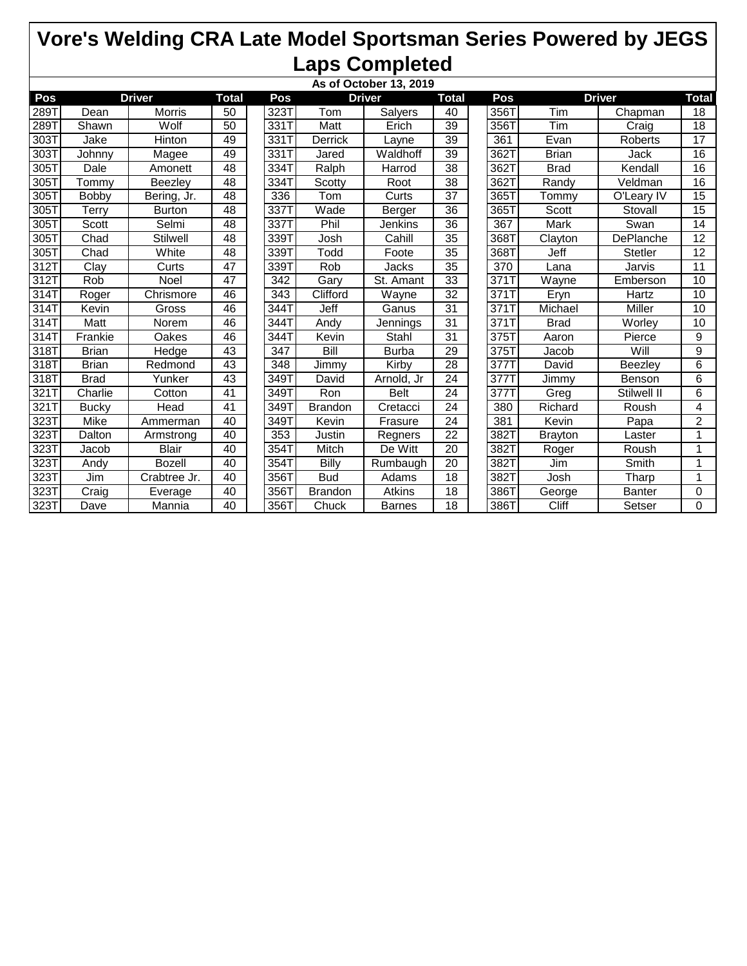|                    | As of October 13, 2019 |                 |                 |                    |                |                |                 |     |      |                |                |                 |  |
|--------------------|------------------------|-----------------|-----------------|--------------------|----------------|----------------|-----------------|-----|------|----------------|----------------|-----------------|--|
| Pos                | <b>Driver</b>          |                 |                 | Pos                |                | <b>Driver</b>  | <b>Total</b>    | Pos |      | <b>Driver</b>  |                | Total           |  |
| 289T               | Dean                   | Morris          | 50              | 323T               | Tom            | <b>Salyers</b> | 40              |     | 356T | Tim            | Chapman        | 18              |  |
| 289T               | Shawn                  | Wolf            | 50              | 331T               | Matt           | Erich          | 39              |     | 356T | Tim            | Craig          | 18              |  |
| 303T               | Jake                   | Hinton          | 49              | 331T               | Derrick        | Layne          | $\overline{39}$ |     | 361  | Evan           | Roberts        | 17              |  |
| 303T               | Johnny                 | Magee           | 49              | 331T               | Jared          | Waldhoff       | 39              |     | 362T | <b>Brian</b>   | Jack           | 16              |  |
| 305T               | Dale                   | Amonett         | 48              | 334T               | Ralph          | Harrod         | 38              |     | 362T | <b>Brad</b>    | Kendall        | 16              |  |
| 305T               | Tommy                  | Beezley         | 48              | 334T               | Scotty         | Root           | 38              |     | 362T | Randy          | Veldman        | 16              |  |
| 305T               | <b>Bobby</b>           | Bering, Jr.     | 48              | 336                | Tom            | Curts          | 37              |     | 365T | Tommv          | O'Leary IV     | 15              |  |
| 305T               | <b>Terry</b>           | <b>Burton</b>   | 48              | 337T               | Wade           | Berger         | 36              |     | 365T | Scott          | Stovall        | $\overline{15}$ |  |
| 305T               | Scott                  | Selmi           | 48              | 337T               | Phil           | Jenkins        | 36              |     | 367  | Mark           | Swan           | 14              |  |
| 305T               | Chad                   | <b>Stilwell</b> | $\overline{48}$ | 339T               | Josh           | Cahill         | 35              |     | 368T | Clayton        | DePlanche      | $\overline{12}$ |  |
| 305T               | Chad                   | White           | 48              | 339T               | Todd           | Foote          | 35              |     | 368T | Jeff           | <b>Stetler</b> | 12              |  |
| 312T               | Clay                   | Curts           | 47              | 339T               | Rob            | Jacks          | 35              |     | 370  | Lana           | Jarvis         | 11              |  |
| 312T               | Rob                    | Noel            | 47              | $\overline{342}$   | Gary           | St. Amant      | 33              |     | 371  | Wayne          | Emberson       | 10              |  |
| 314T               | Roger                  | Chrismore       | 46              | $\overline{343}$   | Clifford       | Wayne          | 32              |     | 371  | Eryn           | Hartz          | 10              |  |
| 314T               | Kevin                  | Gross           | 46              | $\overline{344}$ T | Jeff           | Ganus          | 31              |     | 371T | Michael        | Miller         | 10              |  |
| 314T               | Matt                   | Norem           | 46              | 344T               | Andy           | Jennings       | 31              |     | 371T | <b>Brad</b>    | Worley         | 10              |  |
| $\overline{31}$ 4T | Frankie                | Oakes           | 46              | 344T               | Kevin          | Stahl          | 31              |     | 375T | Aaron          | Pierce         | 9               |  |
| 318T               | <b>Brian</b>           | Hedge           | $\overline{43}$ | $\overline{347}$   | Bill           | <b>Burba</b>   | 29              |     | 375T | Jacob          | Will           | $\overline{9}$  |  |
| 318T               | <b>Brian</b>           | Redmond         | 43              | 348                | Jimmy          | Kirby          | 28              |     | 377T | David          | Beezley        | 6               |  |
| 318T               | <b>Brad</b>            | Yunker          | 43              | 349T               | David          | Arnold, Jr     | 24              |     | 377T | Jimmy          | Benson         | 6               |  |
| 321T               | Charlie                | Cotton          | 41              | 349T               | Ron            | <b>Belt</b>    | 24              |     | 377T | Greg           | Stilwell II    | 6               |  |
| 321T               | <b>Bucky</b>           | Head            | 41              | 349T               | Brandon        | Cretacci       | 24              |     | 380  | Richard        | Roush          | $\overline{4}$  |  |
| 323T               | <b>Mike</b>            | Ammerman        | 40              | 349T               | Kevin          | Frasure        | $\overline{24}$ |     | 381  | Kevin          | Papa           | $\overline{2}$  |  |
| 323T               | Dalton                 | Armstrong       | 40              | $\frac{1}{353}$    | Justin         | Regners        | 22              |     | 382T | <b>Brayton</b> | Laster         |                 |  |
| 323T               | Jacob                  | <b>Blair</b>    | 40              | 354T               | Mitch          | De Witt        | 20              |     | 382T | Roger          | Roush          | 1               |  |
| 323T               | Andy                   | <b>Bozell</b>   | 40              | 354T               | Billy          | Rumbaugh       | 20              |     | 382T | Jim            | Smith          | 1               |  |
| 323T               | Jim                    | Crabtree Jr.    | 40              | 356T               | <b>Bud</b>     | Adams          | 18              |     | 382T | Josh           | Tharp          | 1               |  |
| 323T               | Craig                  | Everage         | 40              | 356T               | <b>Brandon</b> | Atkins         | 18              |     | 386T | George         | Banter         | 0               |  |
| 323T               | Dave                   | Mannia          | 40              | 356T               | Chuck          | <b>Barnes</b>  | 18              |     | 386T | Cliff          | Setser         | 0               |  |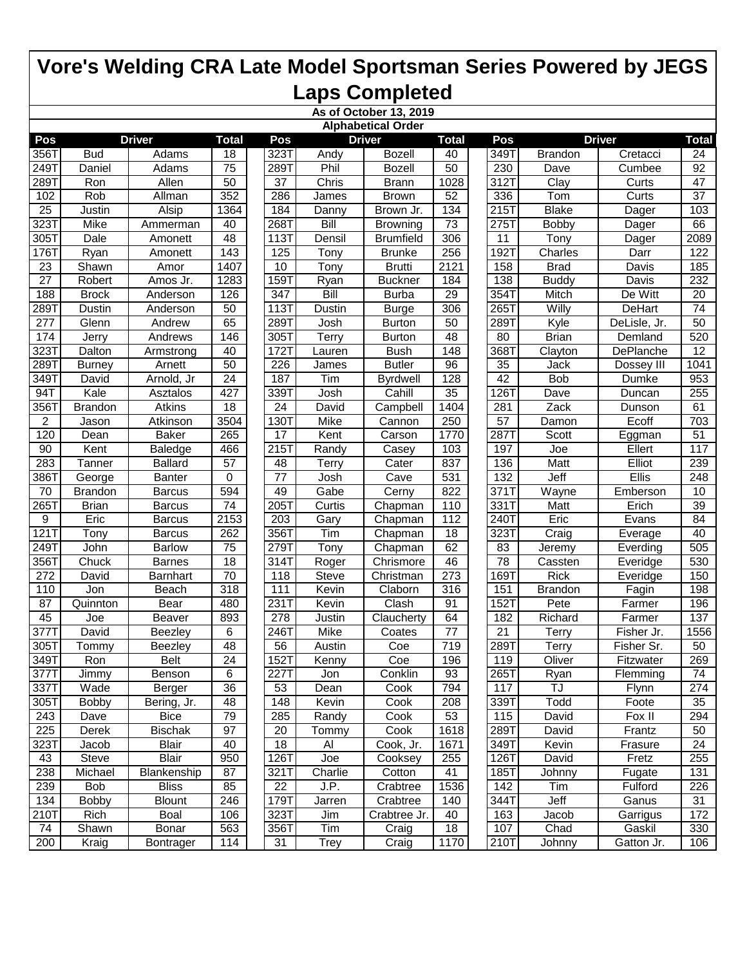|                   |                |                 |                  |                  |             | As of October 13, 2019    |                 |                  |                |                             |                  |
|-------------------|----------------|-----------------|------------------|------------------|-------------|---------------------------|-----------------|------------------|----------------|-----------------------------|------------------|
|                   |                |                 |                  |                  |             | <b>Alphabetical Order</b> |                 |                  |                |                             |                  |
| Pos               |                | <b>Driver</b>   | <b>Total</b>     | Pos              |             | <b>Driver</b>             | <b>Total</b>    | Pos              |                | <b>Driver</b>               | <b>Total</b>     |
| 356T              | <b>Bud</b>     | Adams           | 18               | 323T             | Andy        | <b>Bozell</b>             | 40              | 349T             | <b>Brandon</b> | Cretacci                    | 24               |
| 249T              | Daniel         | Adams           | $\overline{75}$  | 289T             | Phil        | <b>Bozell</b>             | 50              | 230              | Dave           | Cumbee                      | $\overline{92}$  |
| 289T              | Ron            | Allen           | 50               | 37               | Chris       | <b>Brann</b>              | 1028            | 312T             | Clay           | Curts                       | $\overline{47}$  |
| 102               | Rob            | Allman          | 352              | 286              | James       | <b>Brown</b>              | 52              | 336              | Tom            | $\overline{\mathrm{Curts}}$ | $\overline{37}$  |
| $\overline{25}$   | Justin         | Alsip           | 1364             | 184              | Danny       | Brown Jr.                 | 134             | 215T             | <b>Blake</b>   | Dager                       | 103              |
| $\overline{3231}$ | Mike           | Ammerman        | 40               | 268T             | Bill        | <b>Browning</b>           | 73              | 2751             | <b>Bobby</b>   | Dager                       | 66               |
| 3051              | Dale           | Amonett         | 48               | 113T             | Densil      | <b>Brumfield</b>          | 306             | $\overline{11}$  | Tony           | Dager                       | 2089             |
| 176T              | Ryan           | Amonett         | 143              | 125              | Tony        | <b>Brunke</b>             | 256             | 1927             | Charles        | Darr                        | 122              |
| 23                | Shawn          | Amor            | 1407             | 10               | Tony        | <b>Brutti</b>             | 2121            | 158              | <b>Brad</b>    | Davis                       | 185              |
| $\overline{27}$   | Robert         | Amos Jr.        | 1283             | 159T             | Ryan        | <b>Buckner</b>            | 184             | 138              | <b>Buddy</b>   | Davis                       | 232              |
| 188               | <b>Brock</b>   | Anderson        | 126              | 347              | <b>Bill</b> | <b>Burba</b>              | 29              | 354T             | Mitch          | De Witt                     | $\overline{20}$  |
| 2891              | Dustin         | Anderson        | 50               | 113T             | Dustin      | <b>Burge</b>              | 306             | 265T             | Willy          | DeHart                      | $\overline{74}$  |
| $\overline{277}$  | Glenn          | Andrew          | 65               | 289T             | Josh        | <b>Burton</b>             | 50              | 289T             | Kyle           | DeLisle, Jr.                | 50               |
| 174               | Jerry          | Andrews         | 146              | 305T             | Terry       | <b>Burton</b>             | 48              | 80               | <b>Brian</b>   | Demland                     | 520              |
| $\overline{3231}$ | Dalton         | Armstrong       | 40               | 172T             | Lauren      | <b>Bush</b>               | 148             | 368T             | Clayton        | DePlanche                   | 12               |
| 289T              | <b>Burney</b>  | Arnett          | 50               | 226              | James       | <b>Butler</b>             | 96              | $\overline{35}$  | Jack           | Dossey III                  | 1041             |
| 349T              | David          | Arnold, Jr      | 24               | 187              | Tim         | <b>Byrdwell</b>           | 128             | 42               | <b>Bob</b>     | Dumke                       | 953              |
| 94T               | Kale           | Asztalos        | 427              | 339T             | Josh        | Cahill                    | 35              | 126T             | Dave           | Duncan                      | 255              |
| 3561              | <b>Brandon</b> | <b>Atkins</b>   | 18               | $\overline{24}$  | David       | Campbell                  | 1404            | 281              | Zack           | Dunson                      | 61               |
| $\overline{2}$    | Jason          | Atkinson        | 3504             | 130T             | Mike        | Cannon                    | 250             | $\overline{57}$  | Damon          | Ecoff                       | 703              |
| 120               | Dean           | <b>Baker</b>    | 265              | $\overline{17}$  | Kent        | Carson                    | 1770            | 2871             | Scott          | Eggman                      | 51               |
| 90                | Kent           | Baledge         | 466              | 215T             | Randy       | Casey                     | 103             | 197              | Joe            | Ellert                      | 117              |
| 283               | Tanner         | <b>Ballard</b>  | $\overline{57}$  | 48               | Terry       | Cater                     | 837             | 136              | <b>Matt</b>    | Elliot                      | 239              |
| 386T              | George         | <b>Banter</b>   | 0                | $\overline{77}$  | Josh        | Cave                      | 531             | $\overline{132}$ | Jeff           | <b>Ellis</b>                | $\overline{248}$ |
| 70                | <b>Brandon</b> | <b>Barcus</b>   | 594              | 49               | Gabe        | Cerny                     | 822             | 371T             | Wayne          | Emberson                    | 10               |
| 2651              | <b>Brian</b>   | <b>Barcus</b>   | $\overline{74}$  | $\overline{205}$ | Curtis      | Chapman                   | 110             | 331              | Matt           | Erich                       | 39               |
| 9                 | Eric           | <b>Barcus</b>   | 2153             | 203              | Gary        | Chapman                   | 112             | 240T             | Eric           | Evans                       | 84               |
| 121T              | Tony           | <b>Barcus</b>   | 262              | 356T             | Tim         | Chapman                   | 18              | 323T             | Craig          | Everage                     | 40               |
| 249T              | John           | <b>Barlow</b>   | 75               | 279T             | <b>Tony</b> | Chapman                   | 62              | 83               | Jeremy         | Everding                    | 505              |
| 356T              | Chuck          | <b>Barnes</b>   | 18               | 314T             | Roger       | Chrismore                 | 46              | 78               | Cassten        | Everidge                    | 530              |
| 272               | David          | <b>Barnhart</b> | $\overline{70}$  | 118              | Steve       | Christman                 | 273             | 169T             | <b>Rick</b>    | Everidge                    | 150              |
| 110               | Jon            | <b>Beach</b>    | $\overline{318}$ | 111              | Kevin       | Claborn                   | 316             | 151              | <b>Brandon</b> | Fagin                       | 198              |
| 87                | Quinnton       | Bear            | 480              | 231T             | Kevin       | Clash                     | 91              | 152T             | Pete           | Farmer                      | 196              |
| 45                | Joe            | <b>Beaver</b>   | 893              | 278              | Justin      | Claucherty                | 64              | 182              | Richard        | Farmer                      | 137              |
| $\overline{3771}$ | David          | Beezley         | 6                | 246T             | Mike        | Coates                    | $\overline{77}$ | $\overline{21}$  | Terry          | Fisher Jr.                  | 1556             |
| 305T              | Tommy          | Beezley         | 48               | 56               | Austin      | Coe                       | 719             | 289T             | Terry          | Fisher Sr.                  | 50               |
| 349T              | Ron            | <b>Belt</b>     | 24               | 152T             | Kenny       | Coe                       | 196             | 119              | Oliver         | Fitzwater                   | 269              |
| 377T              | Jimmy          | Benson          | 6                | 227T             | Jon         | Conklin                   | 93              | 265T             | Ryan           | Flemming                    | 74               |
| 337T              | Wade           | Berger          | 36               | 53               | Dean        | Cook                      | 794             | 117              | TJ             | Flynn                       | 274              |
| $305\overline{1}$ | Bobby          | Bering, Jr.     | 48               | 148              | Kevin       | Cook                      | 208             | 339T             | Todd           | Foote                       | 35               |
| 243               | Dave           | <b>Bice</b>     | 79               | 285              | Randy       | Cook                      | 53              | 115              | David          | Fox II                      | 294              |
| 225               | Derek          | <b>Bischak</b>  | 97               | 20               | Tommy       | Cook                      | 1618            | 289T             | David          | Frantz                      | 50               |
| 323T              | Jacob          | <b>Blair</b>    | 40               | 18               | Al          | Cook, Jr.                 | 1671            | 349T             | Kevin          | Frasure                     | 24               |
| 43                | <b>Steve</b>   | <b>Blair</b>    | 950              | 126T             | Joe         | Cooksey                   | 255             | 126T             | David          | Fretz                       | 255              |
| 238               | Michael        | Blankenship     | 87               | 321T             | Charlie     | Cotton                    | 41              | 185T             | Johnny         | Fugate                      | 131              |
| 239               | Bob            | <b>Bliss</b>    | 85               | 22               | J.P.        | Crabtree                  | 1536            | 142              | Tim            | Fulford                     | 226              |
| 134               | Bobby          | <b>Blount</b>   | 246              | 179T             | Jarren      | Crabtree                  | 140             | 344T             | Jeff           | Ganus                       | 31               |
| 210T              | Rich           | Boal            | 106              | 323T             | Jim         | Crabtree Jr.              | 40              | 163              | Jacob          | Garrigus                    | 172              |
| 74                | Shawn          | Bonar           | 563              | 356T             | Tim         | Craig                     | 18              | 107              | Chad           | Gaskil                      | 330              |
| 200               | Kraig          | Bontrager       | 114              | 31               | <b>Trey</b> | Craig                     | 1170            | 210T             | Johnny         | Gatton Jr.                  | 106              |
|                   |                |                 |                  |                  |             |                           |                 |                  |                |                             |                  |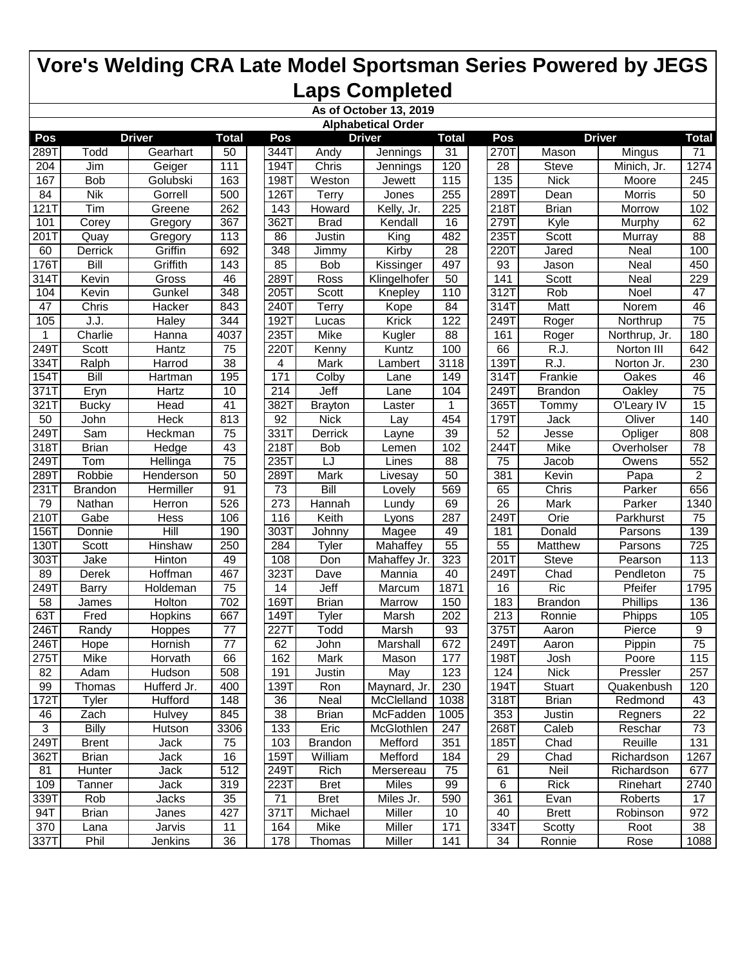| <b>Alphabetical Order</b><br><b>Driver</b><br><b>Driver</b><br><b>Total</b><br><b>Driver</b><br>Pos<br><b>Total</b><br>Pos<br>Pos<br><b>Total</b><br>270T<br>289T<br>Todd<br>Gearhart<br>344T<br>50<br>Andy<br>Jennings<br>31<br>Mason<br>Mingus<br>71<br>$\overline{28}$<br>111<br>194T<br>Chris<br>120<br><b>Steve</b><br>Minich, Jr.<br>1274<br>204<br>Jim<br>Geiger<br>Jennings<br>135<br><b>Nick</b><br>167<br><b>Bob</b><br>Golubski<br>163<br>198T<br>Weston<br>115<br>245<br>Moore<br>Jewett<br><b>Nik</b><br>500<br>126T<br><b>Terry</b><br>255<br>289T<br>50<br>84<br>Gorrell<br>Morris<br>Jones<br>Dean<br>Tim<br>121T<br>Greene<br>262<br>143<br>Howard<br>Kelly, Jr.<br>225<br>218T<br><b>Brian</b><br>Morrow<br>102<br>367<br>279T<br>362T<br><b>Brad</b><br>Kendall<br>16<br>Kyle<br>62<br>101<br>Corey<br>Gregory<br>Murphy<br>88<br>113<br>King<br>482<br>235T<br>201T<br>86<br>Justin<br>Scott<br>Murray<br>Quay<br>Gregory<br>Griffin<br>100<br>Derrick<br>692<br>348<br><b>Jimmy</b><br>Kirby<br>28<br>220T<br>Neal<br>60<br>Jared<br>176T<br>Bill<br>Griffith<br>143<br>85<br><b>Bob</b><br>497<br>93<br>Neal<br>450<br>Kissinger<br>Jason<br>229<br>Kevin<br>46<br>289T<br>141<br>Scott<br>314T<br>Gross<br>Ross<br>50<br>Neal<br>Klingelhofer<br>Scott<br>312T<br>104<br>Kevin<br>Gunkel<br>348<br>205T<br>110<br>Rob<br>47<br>Knepley<br>Noel<br>84<br>46<br>47<br>Chris<br>Hacker<br>843<br>240T<br>Terry<br>Kope<br>314T<br>Matt<br>Norem<br>$\overline{75}$<br>105<br>344<br>192T<br>122<br>J.J.<br>Haley<br><b>Krick</b><br>249T<br>Roger<br>Northrup<br>Lucas<br>Charlie<br>4037<br>235T<br>Mike<br>Kugler<br>161<br>180<br>1<br>Hanna<br>88<br>Roger<br>Northrup, Jr.<br>249T<br>Scott<br>220T<br>66<br>Hantz<br>75<br>Kenny<br>Kuntz<br>100<br>R.J.<br>Norton III<br>642<br>$\overline{38}$<br>139T<br>$\overline{RJ}$ .<br>230<br>Ralph<br>Harrod<br>4<br>Mark<br>3118<br>Norton Jr.<br>334T<br>Lambert<br><b>Bill</b><br>171<br>Frankie<br>154T<br>195<br>Colby<br>314T<br>Oakes<br>46<br>Hartman<br>149<br>Lane<br>Jeff<br>249T<br>$\overline{75}$<br>Eryn<br>Hartz<br>10<br>214<br>Oakley<br>371T<br>Lane<br>104<br><b>Brandon</b><br>382T<br>365T<br>$\overline{15}$<br>321T<br>Head<br>41<br><b>Brayton</b><br>O'Leary IV<br><b>Bucky</b><br>Tommy<br>Laster<br><b>Heck</b><br>813<br>92<br><b>Nick</b><br>Oliver<br>140<br>50<br>John<br>454<br>179T<br><b>Jack</b><br>Lay<br>249T<br>$\overline{75}$<br>331T<br>Opliger<br>Sam<br>Derrick<br>39<br>52<br>808<br>Heckman<br>Jesse<br>Layne<br>43<br>244T<br><b>Mike</b><br>78<br>318T<br><b>Brian</b><br>218T<br><b>Bob</b><br>102<br>Overholser<br>Hedge<br>Lemen<br>$\overline{75}$<br>235T<br>$\overline{75}$<br>552<br>249T<br>Tom<br>Hellinga<br>LJ<br>88<br><b>Jacob</b><br>Lines<br>Owens<br>50<br>$\overline{2}$<br>289T<br>Robbie<br>289T<br>Mark<br>50<br>381<br>Kevin<br>Henderson<br>Livesay<br>Papa<br>91<br>Bill<br>656<br>231T<br>Hermiller<br>73<br>569<br>65<br>Chris<br>Parker<br><b>Brandon</b><br>Lovely<br>526<br>$\overline{273}$<br>$\overline{26}$<br><b>Mark</b><br>Parker<br>79<br><b>Nathan</b><br>Hannah<br>69<br>1340<br>Herron<br>Lundy<br>Keith<br>210T<br>Gabe<br>Hess<br>106<br>116<br>287<br>249T<br>Orie<br>Parkhurst<br>75<br>Lyons<br>Hill<br>156T<br>190<br>303T<br>Magee<br>49<br>181<br>Donald<br>Parsons<br>139<br>Donnie<br>Johnny<br>55<br>130T<br>Scott<br>250<br>284<br><b>Mahaffey</b><br>55<br><b>Matthew</b><br>Parsons<br>725<br>Hinshaw<br>Tyler<br>323<br>201T<br>303T<br>Jake<br><b>Hinton</b><br>49<br>108<br>Mahaffey Jr.<br><b>Steve</b><br>Pearson<br>113<br>Don<br>$\overline{3231}$<br>Chad<br>89<br>Hoffman<br>467<br>Dave<br>Mannia<br>40<br>249T<br>Pendleton<br>75<br>Derek<br><b>Ric</b><br>2491<br>$\overline{75}$<br>Jeff<br>Pfeifer<br>1795<br>Holdeman<br>14<br>1871<br>16<br>Barry<br>Marcum<br>136<br>58<br>Holton<br>702<br>169T<br><b>Brian</b><br>150<br>183<br><b>Brandon</b><br>Phillips<br>Marrow<br>James<br>63T<br>202<br>$\overline{213}$<br>105<br>Fred<br>667<br>149T<br>Marsh<br>Ronnie<br>Phipps<br>Hopkins<br>Tyler<br>$\overline{77}$<br>227T<br>375T<br>9<br>246T<br>Todd<br>Marsh<br>93<br>Pierce<br>Randy<br>Hoppes<br>Aaron<br>$\overline{77}$<br>62<br>$\overline{75}$<br>246T<br>672<br>249T<br>Hope<br>Hornish<br>John<br>Marshall<br>Aaron<br>Pippin<br><b>Mike</b><br>162<br>198T<br>275T<br>Mark<br>Mason<br>Josh<br>Poore<br>115<br>Horvath<br>66<br>177<br>82<br>508<br>May<br>123<br>124<br><b>Nick</b><br>257<br>Adam<br>Hudson<br>191<br>Justin<br>Pressler<br>Hufferd Jr.<br>Maynard, Jr.<br>99<br>Thomas<br>400<br>139T<br>Ron<br>230<br>194T<br><b>Stuart</b><br>Quakenbush<br>120<br>$172$ T<br>318T<br><b>Brian</b><br>Tyler<br>Hufford<br>148<br>36<br>Neal<br>McClelland<br>Redmond<br>43<br>1038<br>845<br>38<br>McFadden<br>353<br>22<br>46<br>Zach<br>Hulvey<br><b>Brian</b><br>Regners<br>1005<br>Justin<br>$\overline{3}$<br><b>Billy</b><br>3306<br>133<br>Eric<br>McGlothlen<br>268T<br>Caleb<br>73<br>Hutson<br>247<br>Reschar<br>75<br>103<br>Mefford<br>Chad<br>Reuille<br>249T<br>Jack<br><b>Brandon</b><br>351<br>185T<br>131<br><b>Brent</b><br>159T<br>William<br>Mefford<br>Chad<br>1267<br>362T<br><b>Brian</b><br>Jack<br>16<br>184<br>29<br>Richardson<br>Jack<br>512<br>249T<br>75<br>61<br>Neil<br>Richardson<br>81<br>Hunter<br>Rich<br>Mersereau<br>677<br>109<br>319<br>223T<br>Miles<br><b>Rick</b><br>2740<br>Jack<br>99<br>6<br>Rinehart<br>Tanner<br><b>Bret</b><br>35<br>71<br>590<br>361<br>17<br>339T<br>Rob<br><b>Bret</b><br>Miles Jr.<br>Evan<br>Roberts<br>Jacks<br>427<br>371T<br>Michael<br>Miller<br>10<br>40<br>972<br>94T<br><b>Brian</b><br><b>Brett</b><br>Robinson<br>Janes<br>164<br>334T<br>38<br>370<br>11<br>Mike<br>Miller<br>171<br>Scotty<br>Lana<br>Jarvis<br>Root<br>337T<br>Phil<br>36<br>178<br>34<br>Jenkins<br>Thomas<br>Miller<br>141<br>Ronnie<br>Rose<br>1088 |  |  |  | As of October 13, 2019 |  |  |  |
|-------------------------------------------------------------------------------------------------------------------------------------------------------------------------------------------------------------------------------------------------------------------------------------------------------------------------------------------------------------------------------------------------------------------------------------------------------------------------------------------------------------------------------------------------------------------------------------------------------------------------------------------------------------------------------------------------------------------------------------------------------------------------------------------------------------------------------------------------------------------------------------------------------------------------------------------------------------------------------------------------------------------------------------------------------------------------------------------------------------------------------------------------------------------------------------------------------------------------------------------------------------------------------------------------------------------------------------------------------------------------------------------------------------------------------------------------------------------------------------------------------------------------------------------------------------------------------------------------------------------------------------------------------------------------------------------------------------------------------------------------------------------------------------------------------------------------------------------------------------------------------------------------------------------------------------------------------------------------------------------------------------------------------------------------------------------------------------------------------------------------------------------------------------------------------------------------------------------------------------------------------------------------------------------------------------------------------------------------------------------------------------------------------------------------------------------------------------------------------------------------------------------------------------------------------------------------------------------------------------------------------------------------------------------------------------------------------------------------------------------------------------------------------------------------------------------------------------------------------------------------------------------------------------------------------------------------------------------------------------------------------------------------------------------------------------------------------------------------------------------------------------------------------------------------------------------------------------------------------------------------------------------------------------------------------------------------------------------------------------------------------------------------------------------------------------------------------------------------------------------------------------------------------------------------------------------------------------------------------------------------------------------------------------------------------------------------------------------------------------------------------------------------------------------------------------------------------------------------------------------------------------------------------------------------------------------------------------------------------------------------------------------------------------------------------------------------------------------------------------------------------------------------------------------------------------------------------------------------------------------------------------------------------------------------------------------------------------------------------------------------------------------------------------------------------------------------------------------------------------------------------------------------------------------------------------------------------------------------------------------------------------------------------------------------------------------------------------------------------------------------------------------------------------------------------------------------------------------------------------------------------------------------------------------------------------------------------------------------------------------------------------------------------------------------------------------------------------------------------------------------------------------------------------------------------------------------------------------------------------------------------------------------------------------------------------------------------------------------------------------------------------------------------------------------------------------------------------------------------------------------------------------------------------------------------------------------------------------------------------------------------------------------------------------------------------------------------------------------------------------------------------------------------------------------------------------------------------------------------------------------------------------------------------------------|--|--|--|------------------------|--|--|--|
|                                                                                                                                                                                                                                                                                                                                                                                                                                                                                                                                                                                                                                                                                                                                                                                                                                                                                                                                                                                                                                                                                                                                                                                                                                                                                                                                                                                                                                                                                                                                                                                                                                                                                                                                                                                                                                                                                                                                                                                                                                                                                                                                                                                                                                                                                                                                                                                                                                                                                                                                                                                                                                                                                                                                                                                                                                                                                                                                                                                                                                                                                                                                                                                                                                                                                                                                                                                                                                                                                                                                                                                                                                                                                                                                                                                                                                                                                                                                                                                                                                                                                                                                                                                                                                                                                                                                                                                                                                                                                                                                                                                                                                                                                                                                                                                                                                                                                                                                                                                                                                                                                                                                                                                                                                                                                                                                                                                                                                                                                                                                                                                                                                                                                                                                                                                                                                                                                                                         |  |  |  |                        |  |  |  |
|                                                                                                                                                                                                                                                                                                                                                                                                                                                                                                                                                                                                                                                                                                                                                                                                                                                                                                                                                                                                                                                                                                                                                                                                                                                                                                                                                                                                                                                                                                                                                                                                                                                                                                                                                                                                                                                                                                                                                                                                                                                                                                                                                                                                                                                                                                                                                                                                                                                                                                                                                                                                                                                                                                                                                                                                                                                                                                                                                                                                                                                                                                                                                                                                                                                                                                                                                                                                                                                                                                                                                                                                                                                                                                                                                                                                                                                                                                                                                                                                                                                                                                                                                                                                                                                                                                                                                                                                                                                                                                                                                                                                                                                                                                                                                                                                                                                                                                                                                                                                                                                                                                                                                                                                                                                                                                                                                                                                                                                                                                                                                                                                                                                                                                                                                                                                                                                                                                                         |  |  |  |                        |  |  |  |
|                                                                                                                                                                                                                                                                                                                                                                                                                                                                                                                                                                                                                                                                                                                                                                                                                                                                                                                                                                                                                                                                                                                                                                                                                                                                                                                                                                                                                                                                                                                                                                                                                                                                                                                                                                                                                                                                                                                                                                                                                                                                                                                                                                                                                                                                                                                                                                                                                                                                                                                                                                                                                                                                                                                                                                                                                                                                                                                                                                                                                                                                                                                                                                                                                                                                                                                                                                                                                                                                                                                                                                                                                                                                                                                                                                                                                                                                                                                                                                                                                                                                                                                                                                                                                                                                                                                                                                                                                                                                                                                                                                                                                                                                                                                                                                                                                                                                                                                                                                                                                                                                                                                                                                                                                                                                                                                                                                                                                                                                                                                                                                                                                                                                                                                                                                                                                                                                                                                         |  |  |  |                        |  |  |  |
|                                                                                                                                                                                                                                                                                                                                                                                                                                                                                                                                                                                                                                                                                                                                                                                                                                                                                                                                                                                                                                                                                                                                                                                                                                                                                                                                                                                                                                                                                                                                                                                                                                                                                                                                                                                                                                                                                                                                                                                                                                                                                                                                                                                                                                                                                                                                                                                                                                                                                                                                                                                                                                                                                                                                                                                                                                                                                                                                                                                                                                                                                                                                                                                                                                                                                                                                                                                                                                                                                                                                                                                                                                                                                                                                                                                                                                                                                                                                                                                                                                                                                                                                                                                                                                                                                                                                                                                                                                                                                                                                                                                                                                                                                                                                                                                                                                                                                                                                                                                                                                                                                                                                                                                                                                                                                                                                                                                                                                                                                                                                                                                                                                                                                                                                                                                                                                                                                                                         |  |  |  |                        |  |  |  |
|                                                                                                                                                                                                                                                                                                                                                                                                                                                                                                                                                                                                                                                                                                                                                                                                                                                                                                                                                                                                                                                                                                                                                                                                                                                                                                                                                                                                                                                                                                                                                                                                                                                                                                                                                                                                                                                                                                                                                                                                                                                                                                                                                                                                                                                                                                                                                                                                                                                                                                                                                                                                                                                                                                                                                                                                                                                                                                                                                                                                                                                                                                                                                                                                                                                                                                                                                                                                                                                                                                                                                                                                                                                                                                                                                                                                                                                                                                                                                                                                                                                                                                                                                                                                                                                                                                                                                                                                                                                                                                                                                                                                                                                                                                                                                                                                                                                                                                                                                                                                                                                                                                                                                                                                                                                                                                                                                                                                                                                                                                                                                                                                                                                                                                                                                                                                                                                                                                                         |  |  |  |                        |  |  |  |
|                                                                                                                                                                                                                                                                                                                                                                                                                                                                                                                                                                                                                                                                                                                                                                                                                                                                                                                                                                                                                                                                                                                                                                                                                                                                                                                                                                                                                                                                                                                                                                                                                                                                                                                                                                                                                                                                                                                                                                                                                                                                                                                                                                                                                                                                                                                                                                                                                                                                                                                                                                                                                                                                                                                                                                                                                                                                                                                                                                                                                                                                                                                                                                                                                                                                                                                                                                                                                                                                                                                                                                                                                                                                                                                                                                                                                                                                                                                                                                                                                                                                                                                                                                                                                                                                                                                                                                                                                                                                                                                                                                                                                                                                                                                                                                                                                                                                                                                                                                                                                                                                                                                                                                                                                                                                                                                                                                                                                                                                                                                                                                                                                                                                                                                                                                                                                                                                                                                         |  |  |  |                        |  |  |  |
|                                                                                                                                                                                                                                                                                                                                                                                                                                                                                                                                                                                                                                                                                                                                                                                                                                                                                                                                                                                                                                                                                                                                                                                                                                                                                                                                                                                                                                                                                                                                                                                                                                                                                                                                                                                                                                                                                                                                                                                                                                                                                                                                                                                                                                                                                                                                                                                                                                                                                                                                                                                                                                                                                                                                                                                                                                                                                                                                                                                                                                                                                                                                                                                                                                                                                                                                                                                                                                                                                                                                                                                                                                                                                                                                                                                                                                                                                                                                                                                                                                                                                                                                                                                                                                                                                                                                                                                                                                                                                                                                                                                                                                                                                                                                                                                                                                                                                                                                                                                                                                                                                                                                                                                                                                                                                                                                                                                                                                                                                                                                                                                                                                                                                                                                                                                                                                                                                                                         |  |  |  |                        |  |  |  |
|                                                                                                                                                                                                                                                                                                                                                                                                                                                                                                                                                                                                                                                                                                                                                                                                                                                                                                                                                                                                                                                                                                                                                                                                                                                                                                                                                                                                                                                                                                                                                                                                                                                                                                                                                                                                                                                                                                                                                                                                                                                                                                                                                                                                                                                                                                                                                                                                                                                                                                                                                                                                                                                                                                                                                                                                                                                                                                                                                                                                                                                                                                                                                                                                                                                                                                                                                                                                                                                                                                                                                                                                                                                                                                                                                                                                                                                                                                                                                                                                                                                                                                                                                                                                                                                                                                                                                                                                                                                                                                                                                                                                                                                                                                                                                                                                                                                                                                                                                                                                                                                                                                                                                                                                                                                                                                                                                                                                                                                                                                                                                                                                                                                                                                                                                                                                                                                                                                                         |  |  |  |                        |  |  |  |
|                                                                                                                                                                                                                                                                                                                                                                                                                                                                                                                                                                                                                                                                                                                                                                                                                                                                                                                                                                                                                                                                                                                                                                                                                                                                                                                                                                                                                                                                                                                                                                                                                                                                                                                                                                                                                                                                                                                                                                                                                                                                                                                                                                                                                                                                                                                                                                                                                                                                                                                                                                                                                                                                                                                                                                                                                                                                                                                                                                                                                                                                                                                                                                                                                                                                                                                                                                                                                                                                                                                                                                                                                                                                                                                                                                                                                                                                                                                                                                                                                                                                                                                                                                                                                                                                                                                                                                                                                                                                                                                                                                                                                                                                                                                                                                                                                                                                                                                                                                                                                                                                                                                                                                                                                                                                                                                                                                                                                                                                                                                                                                                                                                                                                                                                                                                                                                                                                                                         |  |  |  |                        |  |  |  |
|                                                                                                                                                                                                                                                                                                                                                                                                                                                                                                                                                                                                                                                                                                                                                                                                                                                                                                                                                                                                                                                                                                                                                                                                                                                                                                                                                                                                                                                                                                                                                                                                                                                                                                                                                                                                                                                                                                                                                                                                                                                                                                                                                                                                                                                                                                                                                                                                                                                                                                                                                                                                                                                                                                                                                                                                                                                                                                                                                                                                                                                                                                                                                                                                                                                                                                                                                                                                                                                                                                                                                                                                                                                                                                                                                                                                                                                                                                                                                                                                                                                                                                                                                                                                                                                                                                                                                                                                                                                                                                                                                                                                                                                                                                                                                                                                                                                                                                                                                                                                                                                                                                                                                                                                                                                                                                                                                                                                                                                                                                                                                                                                                                                                                                                                                                                                                                                                                                                         |  |  |  |                        |  |  |  |
|                                                                                                                                                                                                                                                                                                                                                                                                                                                                                                                                                                                                                                                                                                                                                                                                                                                                                                                                                                                                                                                                                                                                                                                                                                                                                                                                                                                                                                                                                                                                                                                                                                                                                                                                                                                                                                                                                                                                                                                                                                                                                                                                                                                                                                                                                                                                                                                                                                                                                                                                                                                                                                                                                                                                                                                                                                                                                                                                                                                                                                                                                                                                                                                                                                                                                                                                                                                                                                                                                                                                                                                                                                                                                                                                                                                                                                                                                                                                                                                                                                                                                                                                                                                                                                                                                                                                                                                                                                                                                                                                                                                                                                                                                                                                                                                                                                                                                                                                                                                                                                                                                                                                                                                                                                                                                                                                                                                                                                                                                                                                                                                                                                                                                                                                                                                                                                                                                                                         |  |  |  |                        |  |  |  |
|                                                                                                                                                                                                                                                                                                                                                                                                                                                                                                                                                                                                                                                                                                                                                                                                                                                                                                                                                                                                                                                                                                                                                                                                                                                                                                                                                                                                                                                                                                                                                                                                                                                                                                                                                                                                                                                                                                                                                                                                                                                                                                                                                                                                                                                                                                                                                                                                                                                                                                                                                                                                                                                                                                                                                                                                                                                                                                                                                                                                                                                                                                                                                                                                                                                                                                                                                                                                                                                                                                                                                                                                                                                                                                                                                                                                                                                                                                                                                                                                                                                                                                                                                                                                                                                                                                                                                                                                                                                                                                                                                                                                                                                                                                                                                                                                                                                                                                                                                                                                                                                                                                                                                                                                                                                                                                                                                                                                                                                                                                                                                                                                                                                                                                                                                                                                                                                                                                                         |  |  |  |                        |  |  |  |
|                                                                                                                                                                                                                                                                                                                                                                                                                                                                                                                                                                                                                                                                                                                                                                                                                                                                                                                                                                                                                                                                                                                                                                                                                                                                                                                                                                                                                                                                                                                                                                                                                                                                                                                                                                                                                                                                                                                                                                                                                                                                                                                                                                                                                                                                                                                                                                                                                                                                                                                                                                                                                                                                                                                                                                                                                                                                                                                                                                                                                                                                                                                                                                                                                                                                                                                                                                                                                                                                                                                                                                                                                                                                                                                                                                                                                                                                                                                                                                                                                                                                                                                                                                                                                                                                                                                                                                                                                                                                                                                                                                                                                                                                                                                                                                                                                                                                                                                                                                                                                                                                                                                                                                                                                                                                                                                                                                                                                                                                                                                                                                                                                                                                                                                                                                                                                                                                                                                         |  |  |  |                        |  |  |  |
|                                                                                                                                                                                                                                                                                                                                                                                                                                                                                                                                                                                                                                                                                                                                                                                                                                                                                                                                                                                                                                                                                                                                                                                                                                                                                                                                                                                                                                                                                                                                                                                                                                                                                                                                                                                                                                                                                                                                                                                                                                                                                                                                                                                                                                                                                                                                                                                                                                                                                                                                                                                                                                                                                                                                                                                                                                                                                                                                                                                                                                                                                                                                                                                                                                                                                                                                                                                                                                                                                                                                                                                                                                                                                                                                                                                                                                                                                                                                                                                                                                                                                                                                                                                                                                                                                                                                                                                                                                                                                                                                                                                                                                                                                                                                                                                                                                                                                                                                                                                                                                                                                                                                                                                                                                                                                                                                                                                                                                                                                                                                                                                                                                                                                                                                                                                                                                                                                                                         |  |  |  |                        |  |  |  |
|                                                                                                                                                                                                                                                                                                                                                                                                                                                                                                                                                                                                                                                                                                                                                                                                                                                                                                                                                                                                                                                                                                                                                                                                                                                                                                                                                                                                                                                                                                                                                                                                                                                                                                                                                                                                                                                                                                                                                                                                                                                                                                                                                                                                                                                                                                                                                                                                                                                                                                                                                                                                                                                                                                                                                                                                                                                                                                                                                                                                                                                                                                                                                                                                                                                                                                                                                                                                                                                                                                                                                                                                                                                                                                                                                                                                                                                                                                                                                                                                                                                                                                                                                                                                                                                                                                                                                                                                                                                                                                                                                                                                                                                                                                                                                                                                                                                                                                                                                                                                                                                                                                                                                                                                                                                                                                                                                                                                                                                                                                                                                                                                                                                                                                                                                                                                                                                                                                                         |  |  |  |                        |  |  |  |
|                                                                                                                                                                                                                                                                                                                                                                                                                                                                                                                                                                                                                                                                                                                                                                                                                                                                                                                                                                                                                                                                                                                                                                                                                                                                                                                                                                                                                                                                                                                                                                                                                                                                                                                                                                                                                                                                                                                                                                                                                                                                                                                                                                                                                                                                                                                                                                                                                                                                                                                                                                                                                                                                                                                                                                                                                                                                                                                                                                                                                                                                                                                                                                                                                                                                                                                                                                                                                                                                                                                                                                                                                                                                                                                                                                                                                                                                                                                                                                                                                                                                                                                                                                                                                                                                                                                                                                                                                                                                                                                                                                                                                                                                                                                                                                                                                                                                                                                                                                                                                                                                                                                                                                                                                                                                                                                                                                                                                                                                                                                                                                                                                                                                                                                                                                                                                                                                                                                         |  |  |  |                        |  |  |  |
|                                                                                                                                                                                                                                                                                                                                                                                                                                                                                                                                                                                                                                                                                                                                                                                                                                                                                                                                                                                                                                                                                                                                                                                                                                                                                                                                                                                                                                                                                                                                                                                                                                                                                                                                                                                                                                                                                                                                                                                                                                                                                                                                                                                                                                                                                                                                                                                                                                                                                                                                                                                                                                                                                                                                                                                                                                                                                                                                                                                                                                                                                                                                                                                                                                                                                                                                                                                                                                                                                                                                                                                                                                                                                                                                                                                                                                                                                                                                                                                                                                                                                                                                                                                                                                                                                                                                                                                                                                                                                                                                                                                                                                                                                                                                                                                                                                                                                                                                                                                                                                                                                                                                                                                                                                                                                                                                                                                                                                                                                                                                                                                                                                                                                                                                                                                                                                                                                                                         |  |  |  |                        |  |  |  |
|                                                                                                                                                                                                                                                                                                                                                                                                                                                                                                                                                                                                                                                                                                                                                                                                                                                                                                                                                                                                                                                                                                                                                                                                                                                                                                                                                                                                                                                                                                                                                                                                                                                                                                                                                                                                                                                                                                                                                                                                                                                                                                                                                                                                                                                                                                                                                                                                                                                                                                                                                                                                                                                                                                                                                                                                                                                                                                                                                                                                                                                                                                                                                                                                                                                                                                                                                                                                                                                                                                                                                                                                                                                                                                                                                                                                                                                                                                                                                                                                                                                                                                                                                                                                                                                                                                                                                                                                                                                                                                                                                                                                                                                                                                                                                                                                                                                                                                                                                                                                                                                                                                                                                                                                                                                                                                                                                                                                                                                                                                                                                                                                                                                                                                                                                                                                                                                                                                                         |  |  |  |                        |  |  |  |
|                                                                                                                                                                                                                                                                                                                                                                                                                                                                                                                                                                                                                                                                                                                                                                                                                                                                                                                                                                                                                                                                                                                                                                                                                                                                                                                                                                                                                                                                                                                                                                                                                                                                                                                                                                                                                                                                                                                                                                                                                                                                                                                                                                                                                                                                                                                                                                                                                                                                                                                                                                                                                                                                                                                                                                                                                                                                                                                                                                                                                                                                                                                                                                                                                                                                                                                                                                                                                                                                                                                                                                                                                                                                                                                                                                                                                                                                                                                                                                                                                                                                                                                                                                                                                                                                                                                                                                                                                                                                                                                                                                                                                                                                                                                                                                                                                                                                                                                                                                                                                                                                                                                                                                                                                                                                                                                                                                                                                                                                                                                                                                                                                                                                                                                                                                                                                                                                                                                         |  |  |  |                        |  |  |  |
|                                                                                                                                                                                                                                                                                                                                                                                                                                                                                                                                                                                                                                                                                                                                                                                                                                                                                                                                                                                                                                                                                                                                                                                                                                                                                                                                                                                                                                                                                                                                                                                                                                                                                                                                                                                                                                                                                                                                                                                                                                                                                                                                                                                                                                                                                                                                                                                                                                                                                                                                                                                                                                                                                                                                                                                                                                                                                                                                                                                                                                                                                                                                                                                                                                                                                                                                                                                                                                                                                                                                                                                                                                                                                                                                                                                                                                                                                                                                                                                                                                                                                                                                                                                                                                                                                                                                                                                                                                                                                                                                                                                                                                                                                                                                                                                                                                                                                                                                                                                                                                                                                                                                                                                                                                                                                                                                                                                                                                                                                                                                                                                                                                                                                                                                                                                                                                                                                                                         |  |  |  |                        |  |  |  |
|                                                                                                                                                                                                                                                                                                                                                                                                                                                                                                                                                                                                                                                                                                                                                                                                                                                                                                                                                                                                                                                                                                                                                                                                                                                                                                                                                                                                                                                                                                                                                                                                                                                                                                                                                                                                                                                                                                                                                                                                                                                                                                                                                                                                                                                                                                                                                                                                                                                                                                                                                                                                                                                                                                                                                                                                                                                                                                                                                                                                                                                                                                                                                                                                                                                                                                                                                                                                                                                                                                                                                                                                                                                                                                                                                                                                                                                                                                                                                                                                                                                                                                                                                                                                                                                                                                                                                                                                                                                                                                                                                                                                                                                                                                                                                                                                                                                                                                                                                                                                                                                                                                                                                                                                                                                                                                                                                                                                                                                                                                                                                                                                                                                                                                                                                                                                                                                                                                                         |  |  |  |                        |  |  |  |
|                                                                                                                                                                                                                                                                                                                                                                                                                                                                                                                                                                                                                                                                                                                                                                                                                                                                                                                                                                                                                                                                                                                                                                                                                                                                                                                                                                                                                                                                                                                                                                                                                                                                                                                                                                                                                                                                                                                                                                                                                                                                                                                                                                                                                                                                                                                                                                                                                                                                                                                                                                                                                                                                                                                                                                                                                                                                                                                                                                                                                                                                                                                                                                                                                                                                                                                                                                                                                                                                                                                                                                                                                                                                                                                                                                                                                                                                                                                                                                                                                                                                                                                                                                                                                                                                                                                                                                                                                                                                                                                                                                                                                                                                                                                                                                                                                                                                                                                                                                                                                                                                                                                                                                                                                                                                                                                                                                                                                                                                                                                                                                                                                                                                                                                                                                                                                                                                                                                         |  |  |  |                        |  |  |  |
|                                                                                                                                                                                                                                                                                                                                                                                                                                                                                                                                                                                                                                                                                                                                                                                                                                                                                                                                                                                                                                                                                                                                                                                                                                                                                                                                                                                                                                                                                                                                                                                                                                                                                                                                                                                                                                                                                                                                                                                                                                                                                                                                                                                                                                                                                                                                                                                                                                                                                                                                                                                                                                                                                                                                                                                                                                                                                                                                                                                                                                                                                                                                                                                                                                                                                                                                                                                                                                                                                                                                                                                                                                                                                                                                                                                                                                                                                                                                                                                                                                                                                                                                                                                                                                                                                                                                                                                                                                                                                                                                                                                                                                                                                                                                                                                                                                                                                                                                                                                                                                                                                                                                                                                                                                                                                                                                                                                                                                                                                                                                                                                                                                                                                                                                                                                                                                                                                                                         |  |  |  |                        |  |  |  |
|                                                                                                                                                                                                                                                                                                                                                                                                                                                                                                                                                                                                                                                                                                                                                                                                                                                                                                                                                                                                                                                                                                                                                                                                                                                                                                                                                                                                                                                                                                                                                                                                                                                                                                                                                                                                                                                                                                                                                                                                                                                                                                                                                                                                                                                                                                                                                                                                                                                                                                                                                                                                                                                                                                                                                                                                                                                                                                                                                                                                                                                                                                                                                                                                                                                                                                                                                                                                                                                                                                                                                                                                                                                                                                                                                                                                                                                                                                                                                                                                                                                                                                                                                                                                                                                                                                                                                                                                                                                                                                                                                                                                                                                                                                                                                                                                                                                                                                                                                                                                                                                                                                                                                                                                                                                                                                                                                                                                                                                                                                                                                                                                                                                                                                                                                                                                                                                                                                                         |  |  |  |                        |  |  |  |
|                                                                                                                                                                                                                                                                                                                                                                                                                                                                                                                                                                                                                                                                                                                                                                                                                                                                                                                                                                                                                                                                                                                                                                                                                                                                                                                                                                                                                                                                                                                                                                                                                                                                                                                                                                                                                                                                                                                                                                                                                                                                                                                                                                                                                                                                                                                                                                                                                                                                                                                                                                                                                                                                                                                                                                                                                                                                                                                                                                                                                                                                                                                                                                                                                                                                                                                                                                                                                                                                                                                                                                                                                                                                                                                                                                                                                                                                                                                                                                                                                                                                                                                                                                                                                                                                                                                                                                                                                                                                                                                                                                                                                                                                                                                                                                                                                                                                                                                                                                                                                                                                                                                                                                                                                                                                                                                                                                                                                                                                                                                                                                                                                                                                                                                                                                                                                                                                                                                         |  |  |  |                        |  |  |  |
|                                                                                                                                                                                                                                                                                                                                                                                                                                                                                                                                                                                                                                                                                                                                                                                                                                                                                                                                                                                                                                                                                                                                                                                                                                                                                                                                                                                                                                                                                                                                                                                                                                                                                                                                                                                                                                                                                                                                                                                                                                                                                                                                                                                                                                                                                                                                                                                                                                                                                                                                                                                                                                                                                                                                                                                                                                                                                                                                                                                                                                                                                                                                                                                                                                                                                                                                                                                                                                                                                                                                                                                                                                                                                                                                                                                                                                                                                                                                                                                                                                                                                                                                                                                                                                                                                                                                                                                                                                                                                                                                                                                                                                                                                                                                                                                                                                                                                                                                                                                                                                                                                                                                                                                                                                                                                                                                                                                                                                                                                                                                                                                                                                                                                                                                                                                                                                                                                                                         |  |  |  |                        |  |  |  |
|                                                                                                                                                                                                                                                                                                                                                                                                                                                                                                                                                                                                                                                                                                                                                                                                                                                                                                                                                                                                                                                                                                                                                                                                                                                                                                                                                                                                                                                                                                                                                                                                                                                                                                                                                                                                                                                                                                                                                                                                                                                                                                                                                                                                                                                                                                                                                                                                                                                                                                                                                                                                                                                                                                                                                                                                                                                                                                                                                                                                                                                                                                                                                                                                                                                                                                                                                                                                                                                                                                                                                                                                                                                                                                                                                                                                                                                                                                                                                                                                                                                                                                                                                                                                                                                                                                                                                                                                                                                                                                                                                                                                                                                                                                                                                                                                                                                                                                                                                                                                                                                                                                                                                                                                                                                                                                                                                                                                                                                                                                                                                                                                                                                                                                                                                                                                                                                                                                                         |  |  |  |                        |  |  |  |
|                                                                                                                                                                                                                                                                                                                                                                                                                                                                                                                                                                                                                                                                                                                                                                                                                                                                                                                                                                                                                                                                                                                                                                                                                                                                                                                                                                                                                                                                                                                                                                                                                                                                                                                                                                                                                                                                                                                                                                                                                                                                                                                                                                                                                                                                                                                                                                                                                                                                                                                                                                                                                                                                                                                                                                                                                                                                                                                                                                                                                                                                                                                                                                                                                                                                                                                                                                                                                                                                                                                                                                                                                                                                                                                                                                                                                                                                                                                                                                                                                                                                                                                                                                                                                                                                                                                                                                                                                                                                                                                                                                                                                                                                                                                                                                                                                                                                                                                                                                                                                                                                                                                                                                                                                                                                                                                                                                                                                                                                                                                                                                                                                                                                                                                                                                                                                                                                                                                         |  |  |  |                        |  |  |  |
|                                                                                                                                                                                                                                                                                                                                                                                                                                                                                                                                                                                                                                                                                                                                                                                                                                                                                                                                                                                                                                                                                                                                                                                                                                                                                                                                                                                                                                                                                                                                                                                                                                                                                                                                                                                                                                                                                                                                                                                                                                                                                                                                                                                                                                                                                                                                                                                                                                                                                                                                                                                                                                                                                                                                                                                                                                                                                                                                                                                                                                                                                                                                                                                                                                                                                                                                                                                                                                                                                                                                                                                                                                                                                                                                                                                                                                                                                                                                                                                                                                                                                                                                                                                                                                                                                                                                                                                                                                                                                                                                                                                                                                                                                                                                                                                                                                                                                                                                                                                                                                                                                                                                                                                                                                                                                                                                                                                                                                                                                                                                                                                                                                                                                                                                                                                                                                                                                                                         |  |  |  |                        |  |  |  |
|                                                                                                                                                                                                                                                                                                                                                                                                                                                                                                                                                                                                                                                                                                                                                                                                                                                                                                                                                                                                                                                                                                                                                                                                                                                                                                                                                                                                                                                                                                                                                                                                                                                                                                                                                                                                                                                                                                                                                                                                                                                                                                                                                                                                                                                                                                                                                                                                                                                                                                                                                                                                                                                                                                                                                                                                                                                                                                                                                                                                                                                                                                                                                                                                                                                                                                                                                                                                                                                                                                                                                                                                                                                                                                                                                                                                                                                                                                                                                                                                                                                                                                                                                                                                                                                                                                                                                                                                                                                                                                                                                                                                                                                                                                                                                                                                                                                                                                                                                                                                                                                                                                                                                                                                                                                                                                                                                                                                                                                                                                                                                                                                                                                                                                                                                                                                                                                                                                                         |  |  |  |                        |  |  |  |
|                                                                                                                                                                                                                                                                                                                                                                                                                                                                                                                                                                                                                                                                                                                                                                                                                                                                                                                                                                                                                                                                                                                                                                                                                                                                                                                                                                                                                                                                                                                                                                                                                                                                                                                                                                                                                                                                                                                                                                                                                                                                                                                                                                                                                                                                                                                                                                                                                                                                                                                                                                                                                                                                                                                                                                                                                                                                                                                                                                                                                                                                                                                                                                                                                                                                                                                                                                                                                                                                                                                                                                                                                                                                                                                                                                                                                                                                                                                                                                                                                                                                                                                                                                                                                                                                                                                                                                                                                                                                                                                                                                                                                                                                                                                                                                                                                                                                                                                                                                                                                                                                                                                                                                                                                                                                                                                                                                                                                                                                                                                                                                                                                                                                                                                                                                                                                                                                                                                         |  |  |  |                        |  |  |  |
|                                                                                                                                                                                                                                                                                                                                                                                                                                                                                                                                                                                                                                                                                                                                                                                                                                                                                                                                                                                                                                                                                                                                                                                                                                                                                                                                                                                                                                                                                                                                                                                                                                                                                                                                                                                                                                                                                                                                                                                                                                                                                                                                                                                                                                                                                                                                                                                                                                                                                                                                                                                                                                                                                                                                                                                                                                                                                                                                                                                                                                                                                                                                                                                                                                                                                                                                                                                                                                                                                                                                                                                                                                                                                                                                                                                                                                                                                                                                                                                                                                                                                                                                                                                                                                                                                                                                                                                                                                                                                                                                                                                                                                                                                                                                                                                                                                                                                                                                                                                                                                                                                                                                                                                                                                                                                                                                                                                                                                                                                                                                                                                                                                                                                                                                                                                                                                                                                                                         |  |  |  |                        |  |  |  |
|                                                                                                                                                                                                                                                                                                                                                                                                                                                                                                                                                                                                                                                                                                                                                                                                                                                                                                                                                                                                                                                                                                                                                                                                                                                                                                                                                                                                                                                                                                                                                                                                                                                                                                                                                                                                                                                                                                                                                                                                                                                                                                                                                                                                                                                                                                                                                                                                                                                                                                                                                                                                                                                                                                                                                                                                                                                                                                                                                                                                                                                                                                                                                                                                                                                                                                                                                                                                                                                                                                                                                                                                                                                                                                                                                                                                                                                                                                                                                                                                                                                                                                                                                                                                                                                                                                                                                                                                                                                                                                                                                                                                                                                                                                                                                                                                                                                                                                                                                                                                                                                                                                                                                                                                                                                                                                                                                                                                                                                                                                                                                                                                                                                                                                                                                                                                                                                                                                                         |  |  |  |                        |  |  |  |
|                                                                                                                                                                                                                                                                                                                                                                                                                                                                                                                                                                                                                                                                                                                                                                                                                                                                                                                                                                                                                                                                                                                                                                                                                                                                                                                                                                                                                                                                                                                                                                                                                                                                                                                                                                                                                                                                                                                                                                                                                                                                                                                                                                                                                                                                                                                                                                                                                                                                                                                                                                                                                                                                                                                                                                                                                                                                                                                                                                                                                                                                                                                                                                                                                                                                                                                                                                                                                                                                                                                                                                                                                                                                                                                                                                                                                                                                                                                                                                                                                                                                                                                                                                                                                                                                                                                                                                                                                                                                                                                                                                                                                                                                                                                                                                                                                                                                                                                                                                                                                                                                                                                                                                                                                                                                                                                                                                                                                                                                                                                                                                                                                                                                                                                                                                                                                                                                                                                         |  |  |  |                        |  |  |  |
|                                                                                                                                                                                                                                                                                                                                                                                                                                                                                                                                                                                                                                                                                                                                                                                                                                                                                                                                                                                                                                                                                                                                                                                                                                                                                                                                                                                                                                                                                                                                                                                                                                                                                                                                                                                                                                                                                                                                                                                                                                                                                                                                                                                                                                                                                                                                                                                                                                                                                                                                                                                                                                                                                                                                                                                                                                                                                                                                                                                                                                                                                                                                                                                                                                                                                                                                                                                                                                                                                                                                                                                                                                                                                                                                                                                                                                                                                                                                                                                                                                                                                                                                                                                                                                                                                                                                                                                                                                                                                                                                                                                                                                                                                                                                                                                                                                                                                                                                                                                                                                                                                                                                                                                                                                                                                                                                                                                                                                                                                                                                                                                                                                                                                                                                                                                                                                                                                                                         |  |  |  |                        |  |  |  |
|                                                                                                                                                                                                                                                                                                                                                                                                                                                                                                                                                                                                                                                                                                                                                                                                                                                                                                                                                                                                                                                                                                                                                                                                                                                                                                                                                                                                                                                                                                                                                                                                                                                                                                                                                                                                                                                                                                                                                                                                                                                                                                                                                                                                                                                                                                                                                                                                                                                                                                                                                                                                                                                                                                                                                                                                                                                                                                                                                                                                                                                                                                                                                                                                                                                                                                                                                                                                                                                                                                                                                                                                                                                                                                                                                                                                                                                                                                                                                                                                                                                                                                                                                                                                                                                                                                                                                                                                                                                                                                                                                                                                                                                                                                                                                                                                                                                                                                                                                                                                                                                                                                                                                                                                                                                                                                                                                                                                                                                                                                                                                                                                                                                                                                                                                                                                                                                                                                                         |  |  |  |                        |  |  |  |
|                                                                                                                                                                                                                                                                                                                                                                                                                                                                                                                                                                                                                                                                                                                                                                                                                                                                                                                                                                                                                                                                                                                                                                                                                                                                                                                                                                                                                                                                                                                                                                                                                                                                                                                                                                                                                                                                                                                                                                                                                                                                                                                                                                                                                                                                                                                                                                                                                                                                                                                                                                                                                                                                                                                                                                                                                                                                                                                                                                                                                                                                                                                                                                                                                                                                                                                                                                                                                                                                                                                                                                                                                                                                                                                                                                                                                                                                                                                                                                                                                                                                                                                                                                                                                                                                                                                                                                                                                                                                                                                                                                                                                                                                                                                                                                                                                                                                                                                                                                                                                                                                                                                                                                                                                                                                                                                                                                                                                                                                                                                                                                                                                                                                                                                                                                                                                                                                                                                         |  |  |  |                        |  |  |  |
|                                                                                                                                                                                                                                                                                                                                                                                                                                                                                                                                                                                                                                                                                                                                                                                                                                                                                                                                                                                                                                                                                                                                                                                                                                                                                                                                                                                                                                                                                                                                                                                                                                                                                                                                                                                                                                                                                                                                                                                                                                                                                                                                                                                                                                                                                                                                                                                                                                                                                                                                                                                                                                                                                                                                                                                                                                                                                                                                                                                                                                                                                                                                                                                                                                                                                                                                                                                                                                                                                                                                                                                                                                                                                                                                                                                                                                                                                                                                                                                                                                                                                                                                                                                                                                                                                                                                                                                                                                                                                                                                                                                                                                                                                                                                                                                                                                                                                                                                                                                                                                                                                                                                                                                                                                                                                                                                                                                                                                                                                                                                                                                                                                                                                                                                                                                                                                                                                                                         |  |  |  |                        |  |  |  |
|                                                                                                                                                                                                                                                                                                                                                                                                                                                                                                                                                                                                                                                                                                                                                                                                                                                                                                                                                                                                                                                                                                                                                                                                                                                                                                                                                                                                                                                                                                                                                                                                                                                                                                                                                                                                                                                                                                                                                                                                                                                                                                                                                                                                                                                                                                                                                                                                                                                                                                                                                                                                                                                                                                                                                                                                                                                                                                                                                                                                                                                                                                                                                                                                                                                                                                                                                                                                                                                                                                                                                                                                                                                                                                                                                                                                                                                                                                                                                                                                                                                                                                                                                                                                                                                                                                                                                                                                                                                                                                                                                                                                                                                                                                                                                                                                                                                                                                                                                                                                                                                                                                                                                                                                                                                                                                                                                                                                                                                                                                                                                                                                                                                                                                                                                                                                                                                                                                                         |  |  |  |                        |  |  |  |
|                                                                                                                                                                                                                                                                                                                                                                                                                                                                                                                                                                                                                                                                                                                                                                                                                                                                                                                                                                                                                                                                                                                                                                                                                                                                                                                                                                                                                                                                                                                                                                                                                                                                                                                                                                                                                                                                                                                                                                                                                                                                                                                                                                                                                                                                                                                                                                                                                                                                                                                                                                                                                                                                                                                                                                                                                                                                                                                                                                                                                                                                                                                                                                                                                                                                                                                                                                                                                                                                                                                                                                                                                                                                                                                                                                                                                                                                                                                                                                                                                                                                                                                                                                                                                                                                                                                                                                                                                                                                                                                                                                                                                                                                                                                                                                                                                                                                                                                                                                                                                                                                                                                                                                                                                                                                                                                                                                                                                                                                                                                                                                                                                                                                                                                                                                                                                                                                                                                         |  |  |  |                        |  |  |  |
|                                                                                                                                                                                                                                                                                                                                                                                                                                                                                                                                                                                                                                                                                                                                                                                                                                                                                                                                                                                                                                                                                                                                                                                                                                                                                                                                                                                                                                                                                                                                                                                                                                                                                                                                                                                                                                                                                                                                                                                                                                                                                                                                                                                                                                                                                                                                                                                                                                                                                                                                                                                                                                                                                                                                                                                                                                                                                                                                                                                                                                                                                                                                                                                                                                                                                                                                                                                                                                                                                                                                                                                                                                                                                                                                                                                                                                                                                                                                                                                                                                                                                                                                                                                                                                                                                                                                                                                                                                                                                                                                                                                                                                                                                                                                                                                                                                                                                                                                                                                                                                                                                                                                                                                                                                                                                                                                                                                                                                                                                                                                                                                                                                                                                                                                                                                                                                                                                                                         |  |  |  |                        |  |  |  |
|                                                                                                                                                                                                                                                                                                                                                                                                                                                                                                                                                                                                                                                                                                                                                                                                                                                                                                                                                                                                                                                                                                                                                                                                                                                                                                                                                                                                                                                                                                                                                                                                                                                                                                                                                                                                                                                                                                                                                                                                                                                                                                                                                                                                                                                                                                                                                                                                                                                                                                                                                                                                                                                                                                                                                                                                                                                                                                                                                                                                                                                                                                                                                                                                                                                                                                                                                                                                                                                                                                                                                                                                                                                                                                                                                                                                                                                                                                                                                                                                                                                                                                                                                                                                                                                                                                                                                                                                                                                                                                                                                                                                                                                                                                                                                                                                                                                                                                                                                                                                                                                                                                                                                                                                                                                                                                                                                                                                                                                                                                                                                                                                                                                                                                                                                                                                                                                                                                                         |  |  |  |                        |  |  |  |
|                                                                                                                                                                                                                                                                                                                                                                                                                                                                                                                                                                                                                                                                                                                                                                                                                                                                                                                                                                                                                                                                                                                                                                                                                                                                                                                                                                                                                                                                                                                                                                                                                                                                                                                                                                                                                                                                                                                                                                                                                                                                                                                                                                                                                                                                                                                                                                                                                                                                                                                                                                                                                                                                                                                                                                                                                                                                                                                                                                                                                                                                                                                                                                                                                                                                                                                                                                                                                                                                                                                                                                                                                                                                                                                                                                                                                                                                                                                                                                                                                                                                                                                                                                                                                                                                                                                                                                                                                                                                                                                                                                                                                                                                                                                                                                                                                                                                                                                                                                                                                                                                                                                                                                                                                                                                                                                                                                                                                                                                                                                                                                                                                                                                                                                                                                                                                                                                                                                         |  |  |  |                        |  |  |  |
|                                                                                                                                                                                                                                                                                                                                                                                                                                                                                                                                                                                                                                                                                                                                                                                                                                                                                                                                                                                                                                                                                                                                                                                                                                                                                                                                                                                                                                                                                                                                                                                                                                                                                                                                                                                                                                                                                                                                                                                                                                                                                                                                                                                                                                                                                                                                                                                                                                                                                                                                                                                                                                                                                                                                                                                                                                                                                                                                                                                                                                                                                                                                                                                                                                                                                                                                                                                                                                                                                                                                                                                                                                                                                                                                                                                                                                                                                                                                                                                                                                                                                                                                                                                                                                                                                                                                                                                                                                                                                                                                                                                                                                                                                                                                                                                                                                                                                                                                                                                                                                                                                                                                                                                                                                                                                                                                                                                                                                                                                                                                                                                                                                                                                                                                                                                                                                                                                                                         |  |  |  |                        |  |  |  |
|                                                                                                                                                                                                                                                                                                                                                                                                                                                                                                                                                                                                                                                                                                                                                                                                                                                                                                                                                                                                                                                                                                                                                                                                                                                                                                                                                                                                                                                                                                                                                                                                                                                                                                                                                                                                                                                                                                                                                                                                                                                                                                                                                                                                                                                                                                                                                                                                                                                                                                                                                                                                                                                                                                                                                                                                                                                                                                                                                                                                                                                                                                                                                                                                                                                                                                                                                                                                                                                                                                                                                                                                                                                                                                                                                                                                                                                                                                                                                                                                                                                                                                                                                                                                                                                                                                                                                                                                                                                                                                                                                                                                                                                                                                                                                                                                                                                                                                                                                                                                                                                                                                                                                                                                                                                                                                                                                                                                                                                                                                                                                                                                                                                                                                                                                                                                                                                                                                                         |  |  |  |                        |  |  |  |
|                                                                                                                                                                                                                                                                                                                                                                                                                                                                                                                                                                                                                                                                                                                                                                                                                                                                                                                                                                                                                                                                                                                                                                                                                                                                                                                                                                                                                                                                                                                                                                                                                                                                                                                                                                                                                                                                                                                                                                                                                                                                                                                                                                                                                                                                                                                                                                                                                                                                                                                                                                                                                                                                                                                                                                                                                                                                                                                                                                                                                                                                                                                                                                                                                                                                                                                                                                                                                                                                                                                                                                                                                                                                                                                                                                                                                                                                                                                                                                                                                                                                                                                                                                                                                                                                                                                                                                                                                                                                                                                                                                                                                                                                                                                                                                                                                                                                                                                                                                                                                                                                                                                                                                                                                                                                                                                                                                                                                                                                                                                                                                                                                                                                                                                                                                                                                                                                                                                         |  |  |  |                        |  |  |  |
|                                                                                                                                                                                                                                                                                                                                                                                                                                                                                                                                                                                                                                                                                                                                                                                                                                                                                                                                                                                                                                                                                                                                                                                                                                                                                                                                                                                                                                                                                                                                                                                                                                                                                                                                                                                                                                                                                                                                                                                                                                                                                                                                                                                                                                                                                                                                                                                                                                                                                                                                                                                                                                                                                                                                                                                                                                                                                                                                                                                                                                                                                                                                                                                                                                                                                                                                                                                                                                                                                                                                                                                                                                                                                                                                                                                                                                                                                                                                                                                                                                                                                                                                                                                                                                                                                                                                                                                                                                                                                                                                                                                                                                                                                                                                                                                                                                                                                                                                                                                                                                                                                                                                                                                                                                                                                                                                                                                                                                                                                                                                                                                                                                                                                                                                                                                                                                                                                                                         |  |  |  |                        |  |  |  |
|                                                                                                                                                                                                                                                                                                                                                                                                                                                                                                                                                                                                                                                                                                                                                                                                                                                                                                                                                                                                                                                                                                                                                                                                                                                                                                                                                                                                                                                                                                                                                                                                                                                                                                                                                                                                                                                                                                                                                                                                                                                                                                                                                                                                                                                                                                                                                                                                                                                                                                                                                                                                                                                                                                                                                                                                                                                                                                                                                                                                                                                                                                                                                                                                                                                                                                                                                                                                                                                                                                                                                                                                                                                                                                                                                                                                                                                                                                                                                                                                                                                                                                                                                                                                                                                                                                                                                                                                                                                                                                                                                                                                                                                                                                                                                                                                                                                                                                                                                                                                                                                                                                                                                                                                                                                                                                                                                                                                                                                                                                                                                                                                                                                                                                                                                                                                                                                                                                                         |  |  |  |                        |  |  |  |
|                                                                                                                                                                                                                                                                                                                                                                                                                                                                                                                                                                                                                                                                                                                                                                                                                                                                                                                                                                                                                                                                                                                                                                                                                                                                                                                                                                                                                                                                                                                                                                                                                                                                                                                                                                                                                                                                                                                                                                                                                                                                                                                                                                                                                                                                                                                                                                                                                                                                                                                                                                                                                                                                                                                                                                                                                                                                                                                                                                                                                                                                                                                                                                                                                                                                                                                                                                                                                                                                                                                                                                                                                                                                                                                                                                                                                                                                                                                                                                                                                                                                                                                                                                                                                                                                                                                                                                                                                                                                                                                                                                                                                                                                                                                                                                                                                                                                                                                                                                                                                                                                                                                                                                                                                                                                                                                                                                                                                                                                                                                                                                                                                                                                                                                                                                                                                                                                                                                         |  |  |  |                        |  |  |  |
|                                                                                                                                                                                                                                                                                                                                                                                                                                                                                                                                                                                                                                                                                                                                                                                                                                                                                                                                                                                                                                                                                                                                                                                                                                                                                                                                                                                                                                                                                                                                                                                                                                                                                                                                                                                                                                                                                                                                                                                                                                                                                                                                                                                                                                                                                                                                                                                                                                                                                                                                                                                                                                                                                                                                                                                                                                                                                                                                                                                                                                                                                                                                                                                                                                                                                                                                                                                                                                                                                                                                                                                                                                                                                                                                                                                                                                                                                                                                                                                                                                                                                                                                                                                                                                                                                                                                                                                                                                                                                                                                                                                                                                                                                                                                                                                                                                                                                                                                                                                                                                                                                                                                                                                                                                                                                                                                                                                                                                                                                                                                                                                                                                                                                                                                                                                                                                                                                                                         |  |  |  |                        |  |  |  |
|                                                                                                                                                                                                                                                                                                                                                                                                                                                                                                                                                                                                                                                                                                                                                                                                                                                                                                                                                                                                                                                                                                                                                                                                                                                                                                                                                                                                                                                                                                                                                                                                                                                                                                                                                                                                                                                                                                                                                                                                                                                                                                                                                                                                                                                                                                                                                                                                                                                                                                                                                                                                                                                                                                                                                                                                                                                                                                                                                                                                                                                                                                                                                                                                                                                                                                                                                                                                                                                                                                                                                                                                                                                                                                                                                                                                                                                                                                                                                                                                                                                                                                                                                                                                                                                                                                                                                                                                                                                                                                                                                                                                                                                                                                                                                                                                                                                                                                                                                                                                                                                                                                                                                                                                                                                                                                                                                                                                                                                                                                                                                                                                                                                                                                                                                                                                                                                                                                                         |  |  |  |                        |  |  |  |
|                                                                                                                                                                                                                                                                                                                                                                                                                                                                                                                                                                                                                                                                                                                                                                                                                                                                                                                                                                                                                                                                                                                                                                                                                                                                                                                                                                                                                                                                                                                                                                                                                                                                                                                                                                                                                                                                                                                                                                                                                                                                                                                                                                                                                                                                                                                                                                                                                                                                                                                                                                                                                                                                                                                                                                                                                                                                                                                                                                                                                                                                                                                                                                                                                                                                                                                                                                                                                                                                                                                                                                                                                                                                                                                                                                                                                                                                                                                                                                                                                                                                                                                                                                                                                                                                                                                                                                                                                                                                                                                                                                                                                                                                                                                                                                                                                                                                                                                                                                                                                                                                                                                                                                                                                                                                                                                                                                                                                                                                                                                                                                                                                                                                                                                                                                                                                                                                                                                         |  |  |  |                        |  |  |  |